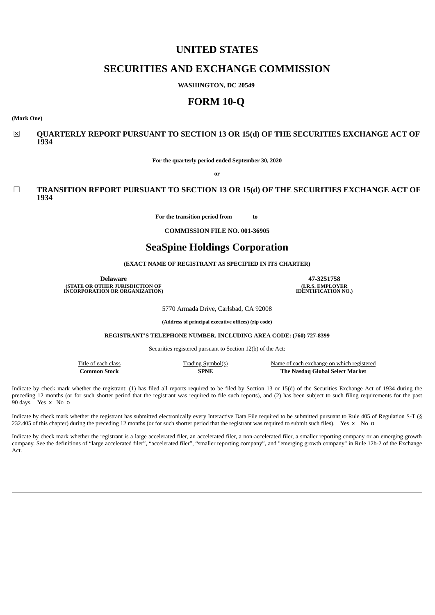# **UNITED STATES**

# **SECURITIES AND EXCHANGE COMMISSION**

**WASHINGTON, DC 20549**

# **FORM 10-Q**

**(Mark One)**

# ☒ **QUARTERLY REPORT PURSUANT TO SECTION 13 OR 15(d) OF THE SECURITIES EXCHANGE ACT OF 1934**

**For the quarterly period ended September 30, 2020**

**or**

# ☐ **TRANSITION REPORT PURSUANT TO SECTION 13 OR 15(d) OF THE SECURITIES EXCHANGE ACT OF 1934**

**For the transition period from to** 

**COMMISSION FILE NO. 001-36905**

# **SeaSpine Holdings Corporation**

#### **(EXACT NAME OF REGISTRANT AS SPECIFIED IN ITS CHARTER)**

**Delaware 47-3251758 (STATE OR OTHER JURISDICTION OF INCORPORATION OR ORGANIZATION)**

**(I.R.S. EMPLOYER IDENTIFICATION NO.)**

5770 Armada Drive, Carlsbad, CA 92008

**(Address of principal executive offices) (zip code)**

**REGISTRANT'S TELEPHONE NUMBER, INCLUDING AREA CODE: (760) 727-8399**

Securities registered pursuant to Section 12(b) of the Act:

| Title of each class | <b>Trading Symbol(s)</b> | Name of each exchange on which registered |
|---------------------|--------------------------|-------------------------------------------|
| Common Stock        | <b>SPNE</b>              | The Nasdaq Global Select Market           |

Indicate by check mark whether the registrant: (1) has filed all reports required to be filed by Section 13 or 15(d) of the Securities Exchange Act of 1934 during the preceding 12 months (or for such shorter period that the registrant was required to file such reports), and (2) has been subject to such filing requirements for the past 90 days. Yes x No o

Indicate by check mark whether the registrant has submitted electronically every Interactive Data File required to be submitted pursuant to Rule 405 of Regulation S-T (§ 232.405 of this chapter) during the preceding 12 months (or for such shorter period that the registrant was required to submit such files). Yes x No 0

Indicate by check mark whether the registrant is a large accelerated filer, an accelerated filer, a non-accelerated filer, a smaller reporting company or an emerging growth company. See the definitions of "large accelerated filer", "accelerated filer", "smaller reporting company", and "emerging growth company" in Rule 12b-2 of the Exchange Act.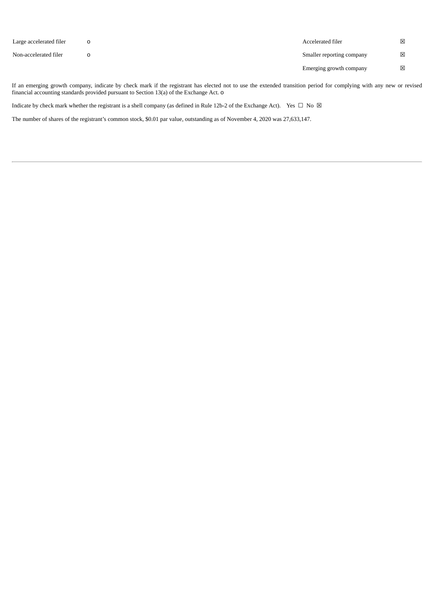| Large accelerated filer | 0 | Accelerated filer         | 区           |
|-------------------------|---|---------------------------|-------------|
| Non-accelerated filer   |   | Smaller reporting company | $\boxtimes$ |
|                         |   | Emerging growth company   | 図           |

If an emerging growth company, indicate by check mark if the registrant has elected not to use the extended transition period for complying with any new or revised financial accounting standards provided pursuant to Section 13(a) of the Exchange Act. o

Indicate by check mark whether the registrant is a shell company (as defined in Rule 12b-2 of the Exchange Act). Yes  $\Box$  No  $\boxtimes$ 

The number of shares of the registrant's common stock, \$0.01 par value, outstanding as of November 4, 2020 was 27,633,147.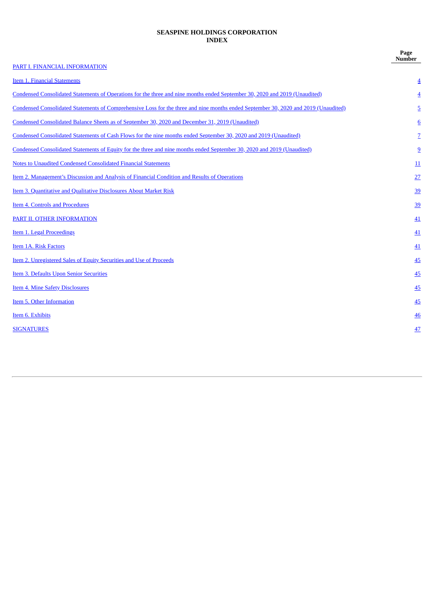# **SEASPINE HOLDINGS CORPORATION INDEX**

<span id="page-2-0"></span>

|                                                                                                                                     | Page<br><b>Number</b> |
|-------------------------------------------------------------------------------------------------------------------------------------|-----------------------|
| PART I. FINANCIAL INFORMATION                                                                                                       |                       |
| Item 1. Financial Statements                                                                                                        |                       |
| Condensed Consolidated Statements of Operations for the three and nine months ended September 30, 2020 and 2019 (Unaudited)         |                       |
| Condensed Consolidated Statements of Comprehensive Loss for the three and nine months ended September 30, 2020 and 2019 (Unaudited) | $\overline{5}$        |
| Condensed Consolidated Balance Sheets as of September 30, 2020 and December 31, 2019 (Unaudited)                                    | <u>6</u>              |
| Condensed Consolidated Statements of Cash Flows for the nine months ended September 30, 2020 and 2019 (Unaudited)                   | $\overline{z}$        |
| Condensed Consolidated Statements of Equity for the three and nine months ended September 30, 2020 and 2019 (Unaudited)             | 9                     |
| <b>Notes to Unaudited Condensed Consolidated Financial Statements</b>                                                               | 11                    |
| Item 2. Management's Discussion and Analysis of Financial Condition and Results of Operations                                       | 27                    |
| <b>Item 3. Quantitative and Qualitative Disclosures About Market Risk</b>                                                           | 39                    |
| Item 4. Controls and Procedures                                                                                                     | $\frac{39}{2}$        |
| PART II. OTHER INFORMATION                                                                                                          | 41                    |
| Item 1. Legal Proceedings                                                                                                           | 41                    |
| Item 1A. Risk Factors                                                                                                               | 41                    |
| Item 2. Unregistered Sales of Equity Securities and Use of Proceeds                                                                 | 45                    |
| Item 3. Defaults Upon Senior Securities                                                                                             | 45                    |
| <b>Item 4. Mine Safety Disclosures</b>                                                                                              | 45                    |
| Item 5. Other Information                                                                                                           | 45                    |
| Item 6. Exhibits                                                                                                                    | 46                    |
| <b>SIGNATURES</b>                                                                                                                   | 47                    |
|                                                                                                                                     |                       |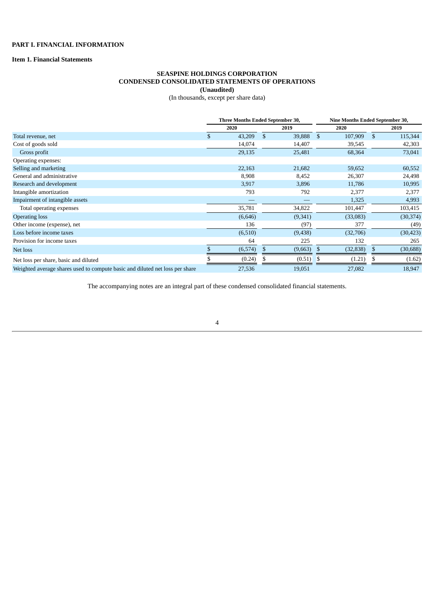<span id="page-3-1"></span><span id="page-3-0"></span>**Item 1. Financial Statements**

# **SEASPINE HOLDINGS CORPORATION CONDENSED CONSOLIDATED STATEMENTS OF OPERATIONS (Unaudited)**

(In thousands, except per share data)

|                                                                              | <b>Three Months Ended September 30,</b> |          |     |          |     | <b>Nine Months Ended September 30,</b> |    |           |  |
|------------------------------------------------------------------------------|-----------------------------------------|----------|-----|----------|-----|----------------------------------------|----|-----------|--|
|                                                                              |                                         | 2020     |     | 2019     |     | 2020                                   |    | 2019      |  |
| Total revenue, net                                                           |                                         | 43,209   | \$. | 39,888   | -\$ | 107,909                                | \$ | 115,344   |  |
| Cost of goods sold                                                           |                                         | 14,074   |     | 14,407   |     | 39,545                                 |    | 42,303    |  |
| Gross profit                                                                 |                                         | 29,135   |     | 25,481   |     | 68,364                                 |    | 73,041    |  |
| Operating expenses:                                                          |                                         |          |     |          |     |                                        |    |           |  |
| Selling and marketing                                                        |                                         | 22,163   |     | 21,682   |     | 59,652                                 |    | 60,552    |  |
| General and administrative                                                   |                                         | 8,908    |     | 8,452    |     | 26,307                                 |    | 24,498    |  |
| Research and development                                                     |                                         | 3,917    |     | 3,896    |     | 11,786                                 |    | 10,995    |  |
| Intangible amortization                                                      |                                         | 793      |     | 792      |     | 2,377                                  |    | 2,377     |  |
| Impairment of intangible assets                                              |                                         |          |     |          |     | 1,325                                  |    | 4,993     |  |
| Total operating expenses                                                     |                                         | 35,781   |     | 34,822   |     | 101,447                                |    | 103,415   |  |
| <b>Operating loss</b>                                                        |                                         | (6,646)  |     | (9,341)  |     | (33,083)                               |    | (30, 374) |  |
| Other income (expense), net                                                  |                                         | 136      |     | (97)     |     | 377                                    |    | (49)      |  |
| Loss before income taxes                                                     |                                         | (6,510)  |     | (9, 438) |     | (32,706)                               |    | (30, 423) |  |
| Provision for income taxes                                                   |                                         | 64       |     | 225      |     | 132                                    |    | 265       |  |
| Net loss                                                                     |                                         | (6, 574) | S.  | (9,663)  | \$. | (32, 838)                              | \$ | (30, 688) |  |
| Net loss per share, basic and diluted                                        |                                         | (0.24)   |     | (0.51)   | S.  | (1.21)                                 |    | (1.62)    |  |
| Weighted average shares used to compute basic and diluted net loss per share |                                         | 27,536   |     | 19,051   |     | 27,082                                 |    | 18,947    |  |

<span id="page-3-2"></span>The accompanying notes are an integral part of these condensed consolidated financial statements.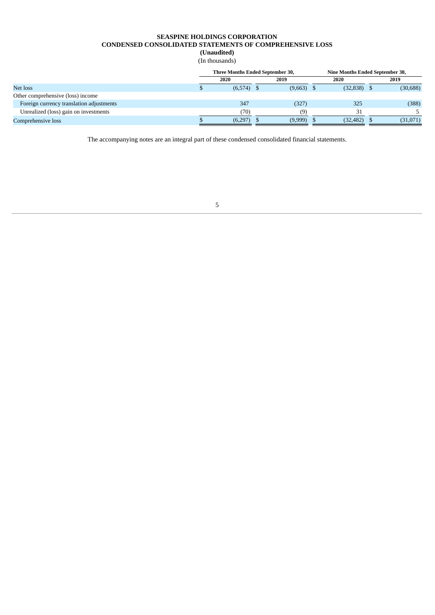# **SEASPINE HOLDINGS CORPORATION CONDENSED CONSOLIDATED STATEMENTS OF COMPREHENSIVE LOSS (Unaudited)**

(In thousands)

|                                          |   | <b>Three Months Ended September 30,</b> |  | Nine Months Ended September 30, |           |           |
|------------------------------------------|---|-----------------------------------------|--|---------------------------------|-----------|-----------|
|                                          |   | 2020                                    |  | 2019                            | 2020      | 2019      |
| Net loss                                 | ۰ | $(6,574)$ \$                            |  | (9,663)                         | (32, 838) | (30, 688) |
| Other comprehensive (loss) income        |   |                                         |  |                                 |           |           |
| Foreign currency translation adjustments |   | 347                                     |  | (327)                           | 325       | (388)     |
| Unrealized (loss) gain on investments    |   | (70`                                    |  | (9)                             | 31        |           |
| Comprehensive loss                       |   | $(6,297)$ \$                            |  | (9,999)                         | (32, 482) | (31,071)  |

<span id="page-4-0"></span>The accompanying notes are an integral part of these condensed consolidated financial statements.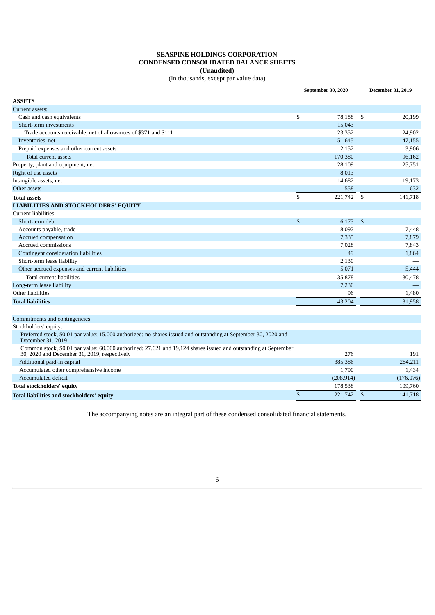# **SEASPINE HOLDINGS CORPORATION CONDENSED CONSOLIDATED BALANCE SHEETS (Unaudited)**

(In thousands, except par value data)

|                                                                                                                                                                 | <b>September 30, 2020</b> |                | <b>December 31, 2019</b> |
|-----------------------------------------------------------------------------------------------------------------------------------------------------------------|---------------------------|----------------|--------------------------|
| <b>ASSETS</b>                                                                                                                                                   |                           |                |                          |
| Current assets:                                                                                                                                                 |                           |                |                          |
| Cash and cash equivalents                                                                                                                                       | \$<br>78,188              | -\$            | 20,199                   |
| Short-term investments                                                                                                                                          | 15,043                    |                |                          |
| Trade accounts receivable, net of allowances of \$371 and \$111                                                                                                 | 23,352                    |                | 24,902                   |
| Inventories, net                                                                                                                                                | 51,645                    |                | 47,155                   |
| Prepaid expenses and other current assets                                                                                                                       | 2,152                     |                | 3,906                    |
| Total current assets                                                                                                                                            | 170,380                   |                | 96,162                   |
| Property, plant and equipment, net                                                                                                                              | 28,109                    |                | 25,751                   |
| Right of use assets                                                                                                                                             | 8,013                     |                |                          |
| Intangible assets, net                                                                                                                                          | 14,682                    |                | 19,173                   |
| Other assets                                                                                                                                                    | 558                       |                | 632                      |
| <b>Total assets</b>                                                                                                                                             | \$<br>221,742             | \$             | 141,718                  |
| LIABILITIES AND STOCKHOLDERS' EQUITY                                                                                                                            |                           |                |                          |
| Current liabilities:                                                                                                                                            |                           |                |                          |
| Short-term debt                                                                                                                                                 | \$<br>6,173               | $\mathfrak{S}$ |                          |
| Accounts payable, trade                                                                                                                                         | 8,092                     |                | 7,448                    |
| Accrued compensation                                                                                                                                            | 7,335                     |                | 7,879                    |
| Accrued commissions                                                                                                                                             | 7,028                     |                | 7,843                    |
| Contingent consideration liabilities                                                                                                                            | 49                        |                | 1,864                    |
| Short-term lease liability                                                                                                                                      | 2,130                     |                |                          |
| Other accrued expenses and current liabilities                                                                                                                  | 5,071                     |                | 5,444                    |
| Total current liabilities                                                                                                                                       | 35,878                    |                | 30,478                   |
| Long-term lease liability                                                                                                                                       | 7,230                     |                |                          |
| Other liabilities                                                                                                                                               | 96                        |                | 1,480                    |
| <b>Total liabilities</b>                                                                                                                                        | 43,204                    |                | 31,958                   |
|                                                                                                                                                                 |                           |                |                          |
| Commitments and contingencies                                                                                                                                   |                           |                |                          |
| Stockholders' equity:                                                                                                                                           |                           |                |                          |
| Preferred stock, \$0.01 par value; 15,000 authorized; no shares issued and outstanding at September 30, 2020 and<br>December 31, 2019                           |                           |                |                          |
| Common stock, \$0.01 par value; 60,000 authorized; 27,621 and 19,124 shares issued and outstanding at September<br>30, 2020 and December 31, 2019, respectively | 276                       |                | 191                      |
| Additional paid-in capital                                                                                                                                      | 385,386                   |                | 284,211                  |
| Accumulated other comprehensive income                                                                                                                          | 1,790                     |                | 1,434                    |
| Accumulated deficit                                                                                                                                             | (208, 914)                |                | (176, 076)               |
| <b>Total stockholders' equity</b>                                                                                                                               | 178,538                   |                | 109,760                  |
| Total liabilities and stockholders' equity                                                                                                                      | \$<br>221,742             | -\$            | 141,718                  |

<span id="page-5-0"></span>The accompanying notes are an integral part of these condensed consolidated financial statements.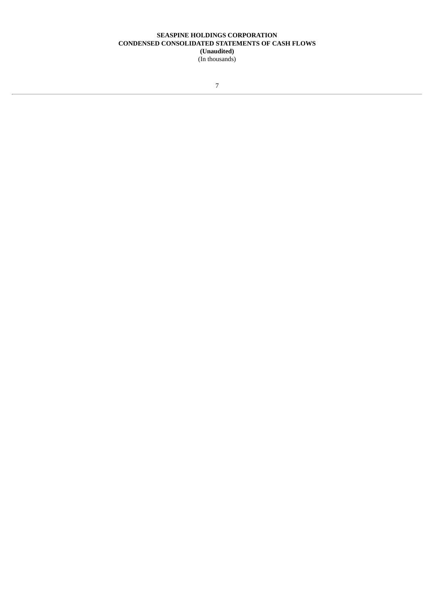### **SEASPINE HOLDINGS CORPORATION CONDENSED CONSOLIDATED STATEMENTS OF CASH FLOWS (Unaudited)** (In thousands)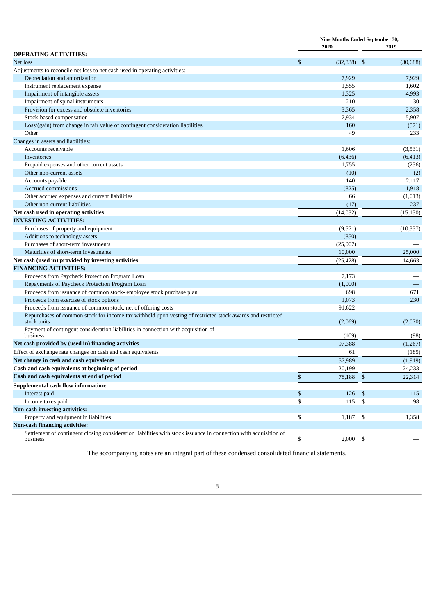|                                                                                                                              |    | Nine Months Ended September 30, |     |           |
|------------------------------------------------------------------------------------------------------------------------------|----|---------------------------------|-----|-----------|
|                                                                                                                              |    | 2020                            |     | 2019      |
| <b>OPERATING ACTIVITIES:</b>                                                                                                 |    |                                 |     |           |
| Net loss                                                                                                                     | \$ | $(32,838)$ \$                   |     | (30, 688) |
| Adjustments to reconcile net loss to net cash used in operating activities:                                                  |    |                                 |     |           |
| Depreciation and amortization                                                                                                |    | 7,929                           |     | 7,929     |
| Instrument replacement expense                                                                                               |    | 1,555                           |     | 1,602     |
| Impairment of intangible assets                                                                                              |    | 1,325                           |     | 4,993     |
| Impairment of spinal instruments                                                                                             |    | 210                             |     | 30        |
| Provision for excess and obsolete inventories                                                                                |    | 3,365                           |     | 2,358     |
| Stock-based compensation                                                                                                     |    | 7,934                           |     | 5,907     |
| Loss/(gain) from change in fair value of contingent consideration liabilities                                                |    | 160                             |     | (571)     |
| Other                                                                                                                        |    | 49                              |     | 233       |
| Changes in assets and liabilities:                                                                                           |    |                                 |     |           |
| Accounts receivable                                                                                                          |    | 1,606                           |     | (3,531)   |
| Inventories                                                                                                                  |    | (6, 436)                        |     | (6, 413)  |
| Prepaid expenses and other current assets                                                                                    |    | 1,755                           |     | (236)     |
| Other non-current assets                                                                                                     |    | (10)                            |     | (2)       |
| Accounts payable                                                                                                             |    | 140                             |     | 2,117     |
| Accrued commissions                                                                                                          |    | (825)                           |     | 1,918     |
| Other accrued expenses and current liabilities                                                                               |    | 66                              |     | (1,013)   |
| Other non-current liabilities                                                                                                |    | (17)                            |     | 237       |
| Net cash used in operating activities                                                                                        |    | (14, 032)                       |     | (15, 130) |
| <b>INVESTING ACTIVITIES:</b>                                                                                                 |    |                                 |     |           |
| Purchases of property and equipment                                                                                          |    | (9,571)                         |     | (10, 337) |
| Additions to technology assets                                                                                               |    | (850)                           |     |           |
| Purchases of short-term investments                                                                                          |    | (25,007)                        |     |           |
| Maturities of short-term investments                                                                                         |    | 10,000                          |     | 25,000    |
| Net cash (used in) provided by investing activities                                                                          |    | (25, 428)                       |     | 14,663    |
| <b>FINANCING ACTIVITIES:</b>                                                                                                 |    |                                 |     |           |
| Proceeds from Paycheck Protection Program Loan                                                                               |    | 7,173                           |     |           |
| Repayments of Paycheck Protection Program Loan                                                                               |    | (1,000)                         |     |           |
| Proceeds from issuance of common stock- employee stock purchase plan                                                         |    | 698                             |     | 671       |
| Proceeds from exercise of stock options                                                                                      |    | 1,073                           |     | 230       |
| Proceeds from issuance of common stock, net of offering costs                                                                |    | 91,622                          |     |           |
| Repurchases of common stock for income tax withheld upon vesting of restricted stock awards and restricted<br>stock units    |    | (2,069)                         |     | (2,070)   |
| Payment of contingent consideration liabilities in connection with acquisition of                                            |    |                                 |     |           |
| business                                                                                                                     |    | (109)                           |     | (98)      |
| Net cash provided by (used in) financing activities                                                                          |    | 97,388                          |     | (1,267)   |
| Effect of exchange rate changes on cash and cash equivalents                                                                 |    | 61                              |     | (185)     |
| Net change in cash and cash equivalents                                                                                      |    | 57.989                          |     | (1,919)   |
| Cash and cash equivalents at beginning of period                                                                             |    | 20,199                          |     | 24,233    |
| Cash and cash equivalents at end of period                                                                                   | \$ | 78,188                          | \$  | 22,314    |
| <b>Supplemental cash flow information:</b>                                                                                   |    |                                 |     |           |
| Interest paid                                                                                                                | \$ | 126                             | \$  | 115       |
| Income taxes paid                                                                                                            | \$ | 115                             | \$  | 98        |
| <b>Non-cash investing activities:</b>                                                                                        |    |                                 |     |           |
| Property and equipment in liabilities                                                                                        | \$ | 1,187                           | -\$ | 1,358     |
| <b>Non-cash financing activities:</b>                                                                                        |    |                                 |     |           |
| Settlement of contingent closing consideration liabilities with stock issuance in connection with acquisition of<br>business | \$ | $2,000$ \$                      |     |           |

<span id="page-7-0"></span>The accompanying notes are an integral part of these condensed consolidated financial statements.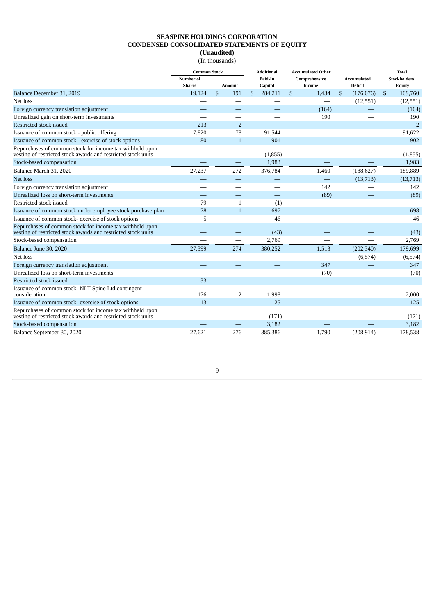# **SEASPINE HOLDINGS CORPORATION CONDENSED CONSOLIDATED STATEMENTS OF EQUITY (Unaudited)**

|                                                                                                                           | <b>Common Stock</b><br>Number of<br><b>Shares</b> |              | <b>Amount</b>  | <b>Additional</b><br>Paid-In<br>Capital |    | <b>Accumulated Other</b><br>Comprehensive<br>Income |              |            |               |  |  | <b>Accumulated</b><br><b>Deficit</b> | <b>Total</b><br><b>Stockholders'</b><br><b>Equity</b> |
|---------------------------------------------------------------------------------------------------------------------------|---------------------------------------------------|--------------|----------------|-----------------------------------------|----|-----------------------------------------------------|--------------|------------|---------------|--|--|--------------------------------------|-------------------------------------------------------|
| Balance December 31, 2019                                                                                                 | 19,124                                            | $\mathbb{S}$ | 191            | \$<br>284,211                           | \$ | 1,434                                               | $\mathbb{S}$ | (176, 076) | \$<br>109,760 |  |  |                                      |                                                       |
| Net loss                                                                                                                  |                                                   |              |                |                                         |    |                                                     |              | (12, 551)  | (12, 551)     |  |  |                                      |                                                       |
| Foreign currency translation adjustment                                                                                   |                                                   |              |                |                                         |    | (164)                                               |              |            | (164)         |  |  |                                      |                                                       |
| Unrealized gain on short-term investments                                                                                 |                                                   |              |                |                                         |    | 190                                                 |              |            | 190           |  |  |                                      |                                                       |
| Restricted stock issued                                                                                                   | 213                                               |              | $\overline{2}$ |                                         |    |                                                     |              |            | $\mathcal{P}$ |  |  |                                      |                                                       |
| Issuance of common stock - public offering                                                                                | 7,820                                             |              | 78             | 91,544                                  |    |                                                     |              |            | 91,622        |  |  |                                      |                                                       |
| Issuance of common stock - exercise of stock options                                                                      | 80                                                |              | $\overline{1}$ | 901                                     |    |                                                     |              |            | 902           |  |  |                                      |                                                       |
| Repurchases of common stock for income tax withheld upon<br>vesting of restricted stock awards and restricted stock units |                                                   |              |                | (1,855)                                 |    |                                                     |              |            | (1,855)       |  |  |                                      |                                                       |
| Stock-based compensation                                                                                                  |                                                   |              |                | 1,983                                   |    |                                                     |              |            | 1,983         |  |  |                                      |                                                       |
| Balance March 31, 2020                                                                                                    | 27,237                                            |              | 272            | 376,784                                 |    | 1,460                                               |              | (188, 627) | 189,889       |  |  |                                      |                                                       |
| Net loss                                                                                                                  |                                                   |              |                |                                         |    |                                                     |              | (13,713)   | (13, 713)     |  |  |                                      |                                                       |
| Foreign currency translation adjustment                                                                                   |                                                   |              |                |                                         |    | 142                                                 |              |            | 142           |  |  |                                      |                                                       |
| Unrealized loss on short-term investments                                                                                 |                                                   |              |                |                                         |    | (89)                                                |              |            | (89)          |  |  |                                      |                                                       |
| Restricted stock issued                                                                                                   | 79                                                |              | $\mathbf{1}$   | (1)                                     |    |                                                     |              |            |               |  |  |                                      |                                                       |
| Issuance of common stock under employee stock purchase plan                                                               | 78                                                |              | $\mathbf{1}$   | 697                                     |    |                                                     |              |            | 698           |  |  |                                      |                                                       |
| Issuance of common stock- exercise of stock options                                                                       | 5                                                 |              |                | 46                                      |    |                                                     |              |            | 46            |  |  |                                      |                                                       |
| Repurchases of common stock for income tax withheld upon<br>vesting of restricted stock awards and restricted stock units |                                                   |              |                | (43)                                    |    |                                                     |              |            | (43)          |  |  |                                      |                                                       |
| Stock-based compensation                                                                                                  |                                                   |              |                | 2,769                                   |    |                                                     |              |            | 2,769         |  |  |                                      |                                                       |
| Balance June 30, 2020                                                                                                     | 27,399                                            |              | 274            | 380,252                                 |    | 1,513                                               |              | (202, 340) | 179,699       |  |  |                                      |                                                       |
| Net loss                                                                                                                  |                                                   |              |                |                                         |    |                                                     |              | (6,574)    | (6,574)       |  |  |                                      |                                                       |
| Foreign currency translation adjustment                                                                                   |                                                   |              |                |                                         |    | 347                                                 |              |            | 347           |  |  |                                      |                                                       |
| Unrealized loss on short-term investments                                                                                 |                                                   |              |                |                                         |    | (70)                                                |              |            | (70)          |  |  |                                      |                                                       |
| Restricted stock issued                                                                                                   | 33                                                |              |                |                                         |    |                                                     |              |            |               |  |  |                                      |                                                       |
| Issuance of common stock- NLT Spine Ltd contingent<br>consideration                                                       | 176                                               |              | $\overline{2}$ | 1,998                                   |    |                                                     |              |            | 2,000         |  |  |                                      |                                                       |
| Issuance of common stock- exercise of stock options                                                                       | 13                                                |              |                | 125                                     |    |                                                     |              |            | 125           |  |  |                                      |                                                       |
| Repurchases of common stock for income tax withheld upon<br>vesting of restricted stock awards and restricted stock units |                                                   |              |                | (171)                                   |    |                                                     |              |            | (171)         |  |  |                                      |                                                       |
| Stock-based compensation                                                                                                  |                                                   |              |                | 3,182                                   |    |                                                     |              |            | 3,182         |  |  |                                      |                                                       |
| Balance September 30, 2020                                                                                                | 27,621                                            |              | 276            | 385,386                                 |    | 1,790                                               |              | (208, 914) | 178,538       |  |  |                                      |                                                       |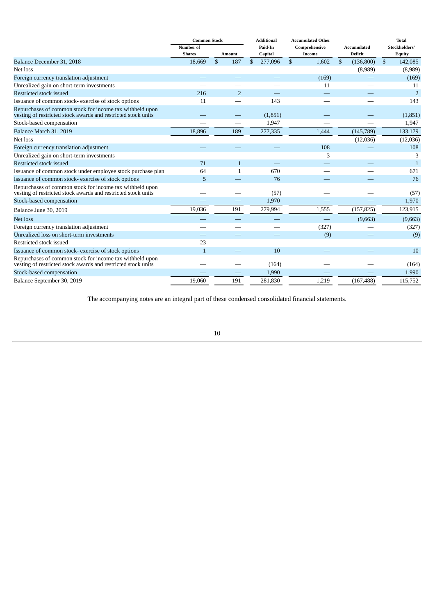|                                                                                                                           | <b>Common Stock</b> |                | <b>Additional</b>        | <b>Accumulated Other</b> |       |    |                    | <b>Total</b>         |                |
|---------------------------------------------------------------------------------------------------------------------------|---------------------|----------------|--------------------------|--------------------------|-------|----|--------------------|----------------------|----------------|
|                                                                                                                           | <b>Number</b> of    |                | Paid-In                  | Comprehensive            |       |    | <b>Accumulated</b> | <b>Stockholders'</b> |                |
|                                                                                                                           | <b>Shares</b>       | Amount         | Capital                  | Income                   |       |    | Deficit            | Equity               |                |
| Balance December 31, 2018                                                                                                 | 18,669              | \$<br>187      | $\mathbf{\$}$<br>277,096 | $\mathbb{S}$             | 1,602 | \$ | (136, 800)         | \$                   | 142,085        |
| Net loss                                                                                                                  |                     |                |                          |                          |       |    | (8,989)            |                      | (8,989)        |
| Foreign currency translation adjustment                                                                                   |                     |                |                          |                          | (169) |    |                    |                      | (169)          |
| Unrealized gain on short-term investments                                                                                 |                     |                |                          |                          | 11    |    |                    |                      | 11             |
| Restricted stock issued                                                                                                   | 216                 | $\overline{2}$ |                          |                          |       |    |                    |                      | $\overline{2}$ |
| Issuance of common stock- exercise of stock options                                                                       | 11                  |                | 143                      |                          |       |    |                    |                      | 143            |
| Repurchases of common stock for income tax withheld upon<br>vesting of restricted stock awards and restricted stock units |                     |                | (1,851)                  |                          |       |    |                    |                      | (1,851)        |
| Stock-based compensation                                                                                                  |                     |                | 1,947                    |                          |       |    |                    |                      | 1,947          |
| Balance March 31, 2019                                                                                                    | 18,896              | 189            | 277,335                  |                          | 1,444 |    | (145,789)          |                      | 133,179        |
| Net loss                                                                                                                  |                     |                |                          |                          |       |    | (12,036)           |                      | (12,036)       |
| Foreign currency translation adjustment                                                                                   |                     |                |                          |                          | 108   |    |                    |                      | 108            |
| Unrealized gain on short-term investments                                                                                 |                     |                |                          |                          | 3     |    |                    |                      | 3              |
| Restricted stock issued                                                                                                   | 71                  | $\mathbf{1}$   |                          |                          |       |    |                    |                      | $\mathbf{1}$   |
| Issuance of common stock under employee stock purchase plan                                                               | 64                  | $\mathbf{1}$   | 670                      |                          |       |    |                    |                      | 671            |
| Issuance of common stock- exercise of stock options                                                                       | 5                   |                | 76                       |                          |       |    |                    |                      | 76             |
| Repurchases of common stock for income tax withheld upon<br>vesting of restricted stock awards and restricted stock units |                     |                | (57)                     |                          |       |    |                    |                      | (57)           |
| Stock-based compensation                                                                                                  |                     |                | 1,970                    |                          |       |    |                    |                      | 1,970          |
| Balance June 30, 2019                                                                                                     | 19,036              | 191            | 279,994                  |                          | 1,555 |    | (157, 825)         |                      | 123,915        |
| Net loss                                                                                                                  |                     |                |                          |                          |       |    | (9,663)            |                      | (9,663)        |
| Foreign currency translation adjustment                                                                                   |                     |                |                          |                          | (327) |    |                    |                      | (327)          |
| Unrealized loss on short-term investments                                                                                 |                     |                |                          |                          | (9)   |    |                    |                      | (9)            |
| Restricted stock issued                                                                                                   | 23                  |                |                          |                          |       |    |                    |                      |                |
| Issuance of common stock- exercise of stock options                                                                       |                     |                | 10                       |                          |       |    |                    |                      | 10             |
| Repurchases of common stock for income tax withheld upon<br>vesting of restricted stock awards and restricted stock units |                     |                | (164)                    |                          |       |    |                    |                      | (164)          |
| Stock-based compensation                                                                                                  |                     |                | 1,990                    |                          |       |    |                    |                      | 1,990          |
| Balance September 30, 2019                                                                                                | 19,060              | 191            | 281,830                  |                          | 1,219 |    | (167, 488)         |                      | 115,752        |

<span id="page-9-0"></span>The accompanying notes are an integral part of these condensed consolidated financial statements.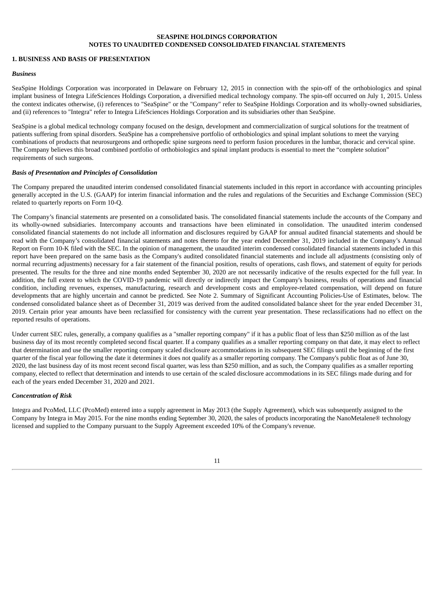### **1. BUSINESS AND BASIS OF PRESENTATION**

### *Business*

SeaSpine Holdings Corporation was incorporated in Delaware on February 12, 2015 in connection with the spin-off of the orthobiologics and spinal implant business of Integra LifeSciences Holdings Corporation, a diversified medical technology company. The spin-off occurred on July 1, 2015. Unless the context indicates otherwise, (i) references to "SeaSpine" or the "Company" refer to SeaSpine Holdings Corporation and its wholly-owned subsidiaries, and (ii) references to "Integra" refer to Integra LifeSciences Holdings Corporation and its subsidiaries other than SeaSpine.

SeaSpine is a global medical technology company focused on the design, development and commercialization of surgical solutions for the treatment of patients suffering from spinal disorders. SeaSpine has a comprehensive portfolio of orthobiologics and spinal implant solutions to meet the varying combinations of products that neurosurgeons and orthopedic spine surgeons need to perform fusion procedures in the lumbar, thoracic and cervical spine. The Company believes this broad combined portfolio of orthobiologics and spinal implant products is essential to meet the "complete solution" requirements of such surgeons.

### *Basis of Presentation and Principles of Consolidation*

The Company prepared the unaudited interim condensed consolidated financial statements included in this report in accordance with accounting principles generally accepted in the U.S. (GAAP) for interim financial information and the rules and regulations of the Securities and Exchange Commission (SEC) related to quarterly reports on Form 10-Q.

The Company's financial statements are presented on a consolidated basis. The consolidated financial statements include the accounts of the Company and its wholly-owned subsidiaries. Intercompany accounts and transactions have been eliminated in consolidation. The unaudited interim condensed consolidated financial statements do not include all information and disclosures required by GAAP for annual audited financial statements and should be read with the Company's consolidated financial statements and notes thereto for the year ended December 31, 2019 included in the Company's Annual Report on Form 10-K filed with the SEC. In the opinion of management, the unaudited interim condensed consolidated financial statements included in this report have been prepared on the same basis as the Company's audited consolidated financial statements and include all adjustments (consisting only of normal recurring adjustments) necessary for a fair statement of the financial position, results of operations, cash flows, and statement of equity for periods presented. The results for the three and nine months ended September 30, 2020 are not necessarily indicative of the results expected for the full year. In addition, the full extent to which the COVID-19 pandemic will directly or indirectly impact the Company's business, results of operations and financial condition, including revenues, expenses, manufacturing, research and development costs and employee-related compensation, will depend on future developments that are highly uncertain and cannot be predicted. See Note 2. Summary of Significant Accounting Policies-Use of Estimates, below. The condensed consolidated balance sheet as of December 31, 2019 was derived from the audited consolidated balance sheet for the year ended December 31, 2019. Certain prior year amounts have been reclassified for consistency with the current year presentation. These reclassifications had no effect on the reported results of operations.

Under current SEC rules, generally, a company qualifies as a "smaller reporting company" if it has a public float of less than \$250 million as of the last business day of its most recently completed second fiscal quarter. If a company qualifies as a smaller reporting company on that date, it may elect to reflect that determination and use the smaller reporting company scaled disclosure accommodations in its subsequent SEC filings until the beginning of the first quarter of the fiscal year following the date it determines it does not qualify as a smaller reporting company. The Company's public float as of June 30, 2020, the last business day of its most recent second fiscal quarter, was less than \$250 million, and as such, the Company qualifies as a smaller reporting company, elected to reflect that determination and intends to use certain of the scaled disclosure accommodations in its SEC filings made during and for each of the years ended December 31, 2020 and 2021.

# *Concentration of Risk*

Integra and PcoMed, LLC (PcoMed) entered into a supply agreement in May 2013 (the Supply Agreement), which was subsequently assigned to the Company by Integra in May 2015. For the nine months ending September 30, 2020, the sales of products incorporating the NanoMetalene® technology licensed and supplied to the Company pursuant to the Supply Agreement exceeded 10% of the Company's revenue.

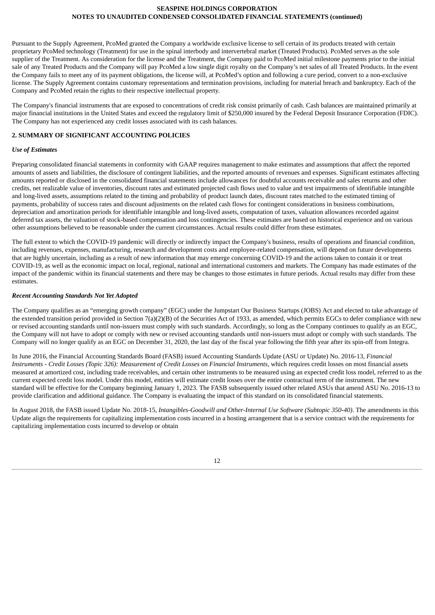Pursuant to the Supply Agreement, PcoMed granted the Company a worldwide exclusive license to sell certain of its products treated with certain proprietary PcoMed technology (Treatment) for use in the spinal interbody and intervertebral market (Treated Products). PcoMed serves as the sole supplier of the Treatment. As consideration for the license and the Treatment, the Company paid to PcoMed initial milestone payments prior to the initial sale of any Treated Products and the Company will pay PcoMed a low single digit royalty on the Company's net sales of all Treated Products. In the event the Company fails to meet any of its payment obligations, the license will, at PcoMed's option and following a cure period, convert to a non-exclusive license. The Supply Agreement contains customary representations and termination provisions, including for material breach and bankruptcy. Each of the Company and PcoMed retain the rights to their respective intellectual property.

The Company's financial instruments that are exposed to concentrations of credit risk consist primarily of cash. Cash balances are maintained primarily at major financial institutions in the United States and exceed the regulatory limit of \$250,000 insured by the Federal Deposit Insurance Corporation (FDIC). The Company has not experienced any credit losses associated with its cash balances.

### <span id="page-11-0"></span>**2. SUMMARY OF SIGNIFICANT ACCOUNTING POLICIES**

### *Use of Estimates*

Preparing consolidated financial statements in conformity with GAAP requires management to make estimates and assumptions that affect the reported amounts of assets and liabilities, the disclosure of contingent liabilities, and the reported amounts of revenues and expenses. Significant estimates affecting amounts reported or disclosed in the consolidated financial statements include allowances for doubtful accounts receivable and sales returns and other credits, net realizable value of inventories, discount rates and estimated projected cash flows used to value and test impairments of identifiable intangible and long-lived assets, assumptions related to the timing and probability of product launch dates, discount rates matched to the estimated timing of payments, probability of success rates and discount adjustments on the related cash flows for contingent considerations in business combinations, depreciation and amortization periods for identifiable intangible and long-lived assets, computation of taxes, valuation allowances recorded against deferred tax assets, the valuation of stock-based compensation and loss contingencies. These estimates are based on historical experience and on various other assumptions believed to be reasonable under the current circumstances. Actual results could differ from these estimates.

The full extent to which the COVID-19 pandemic will directly or indirectly impact the Company's business, results of operations and financial condition, including revenues, expenses, manufacturing, research and development costs and employee-related compensation, will depend on future developments that are highly uncertain, including as a result of new information that may emerge concerning COVID-19 and the actions taken to contain it or treat COVID-19, as well as the economic impact on local, regional, national and international customers and markets. The Company has made estimates of the impact of the pandemic within its financial statements and there may be changes to those estimates in future periods. Actual results may differ from these estimates.

### *Recent Accounting Standards Not Yet Adopted*

The Company qualifies as an "emerging growth company" (EGC) under the Jumpstart Our Business Startups (JOBS) Act and elected to take advantage of the extended transition period provided in Section 7(a)(2)(B) of the Securities Act of 1933, as amended, which permits EGCs to defer compliance with new or revised accounting standards until non-issuers must comply with such standards. Accordingly, so long as the Company continues to qualify as an EGC, the Company will not have to adopt or comply with new or revised accounting standards until non-issuers must adopt or comply with such standards. The Company will no longer qualify as an EGC on December 31, 2020, the last day of the fiscal year following the fifth year after its spin-off from Integra.

In June 2016, the Financial Accounting Standards Board (FASB) issued Accounting Standards Update (ASU or Update) No. 2016-13, *Financial* Instruments - Credit Losses (Topic 326): Measurement of Credit Losses on Financial Instruments, which requires credit losses on most financial assets measured at amortized cost, including trade receivables, and certain other instruments to be measured using an expected credit loss model, referred to as the current expected credit loss model. Under this model, entities will estimate credit losses over the entire contractual term of the instrument. The new standard will be effective for the Company beginning January 1, 2023. The FASB subsequently issued other related ASUs that amend ASU No. 2016-13 to provide clarification and additional guidance. The Company is evaluating the impact of this standard on its consolidated financial statements.

In August 2018, the FASB issued Update No. 2018-15, *Intangibles-Goodwill and Other-Internal Use Software (Subtopic 350-40)*. The amendments in this Update align the requirements for capitalizing implementation costs incurred in a hosting arrangement that is a service contract with the requirements for capitalizing implementation costs incurred to develop or obtain

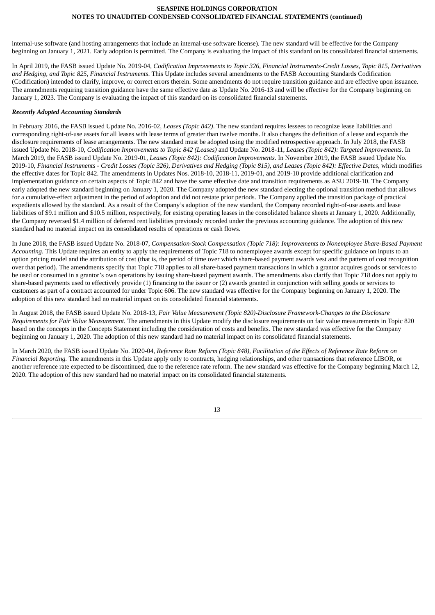internal-use software (and hosting arrangements that include an internal-use software license). The new standard will be effective for the Company beginning on January 1, 2021. Early adoption is permitted. The Company is evaluating the impact of this standard on its consolidated financial statements.

In April 2019, the FASB issued Update No. 2019-04, Codification Improvements to Topic 326, Financial Instruments-Credit Losses, Topic 815, Derivatives *and Hedging, and Topic 825, Financial Instruments*. This Update includes several amendments to the FASB Accounting Standards Codification (Codification) intended to clarify, improve, or correct errors therein. Some amendments do not require transition guidance and are effective upon issuance. The amendments requiring transition guidance have the same effective date as Update No. 2016-13 and will be effective for the Company beginning on January 1, 2023. The Company is evaluating the impact of this standard on its consolidated financial statements.

### *Recently Adopted Accounting Standards*

In February 2016, the FASB issued Update No. 2016-02, *Leases (Topic 842)*. The new standard requires lessees to recognize lease liabilities and corresponding right-of-use assets for all leases with lease terms of greater than twelve months. It also changes the definition of a lease and expands the disclosure requirements of lease arrangements. The new standard must be adopted using the modified retrospective approach. In July 2018, the FASB issued Update No. 2018-10, *Codification Improvements to Topic 842 (Leases)* and Update No. 2018-11, *Leases (Topic 842): Targeted Improvements*. In March 2019, the FASB issued Update No. 2019-01, *Leases (Topic 842): Codification Improvements*. In November 2019, the FASB issued Update No. 2019-10, Financial Instruments - Credit Losses (Topic 326), Derivatives and Hedging (Topic 815), and Leases (Topic 842): Effective Dates, which modifies the effective dates for Topic 842. The amendments in Updates Nos. 2018-10, 2018-11, 2019-01, and 2019-10 provide additional clarification and implementation guidance on certain aspects of Topic 842 and have the same effective date and transition requirements as ASU 2019-10. The Company early adopted the new standard beginning on January 1, 2020. The Company adopted the new standard electing the optional transition method that allows for a cumulative-effect adjustment in the period of adoption and did not restate prior periods. The Company applied the transition package of practical expedients allowed by the standard. As a result of the Company's adoption of the new standard, the Company recorded right-of-use assets and lease liabilities of \$9.1 million and \$10.5 million, respectively, for existing operating leases in the consolidated balance sheets at January 1, 2020. Additionally, the Company reversed \$1.4 million of deferred rent liabilities previously recorded under the previous accounting guidance. The adoption of this new standard had no material impact on its consolidated results of operations or cash flows.

In June 2018, the FASB issued Update No. 2018-07, *Compensation-Stock Compensation (Topic 718): Improvements to Nonemployee Share-Based Payment Accounting*. This Update requires an entity to apply the requirements of Topic 718 to nonemployee awards except for specific guidance on inputs to an option pricing model and the attribution of cost (that is, the period of time over which share-based payment awards vest and the pattern of cost recognition over that period). The amendments specify that Topic 718 applies to all share-based payment transactions in which a grantor acquires goods or services to be used or consumed in a grantor's own operations by issuing share-based payment awards. The amendments also clarify that Topic 718 does not apply to share-based payments used to effectively provide (1) financing to the issuer or (2) awards granted in conjunction with selling goods or services to customers as part of a contract accounted for under Topic 606. The new standard was effective for the Company beginning on January 1, 2020. The adoption of this new standard had no material impact on its consolidated financial statements.

In August 2018, the FASB issued Update No. 2018-13, *Fair Value Measurement (Topic 820)-Disclosure Framework-Changes to the Disclosure Requirements for Fair Value Measurement*. The amendments in this Update modify the disclosure requirements on fair value measurements in Topic 820 based on the concepts in the Concepts Statement including the consideration of costs and benefits. The new standard was effective for the Company beginning on January 1, 2020. The adoption of this new standard had no material impact on its consolidated financial statements.

In March 2020, the FASB issued Update No. 2020-04, Reference Rate Reform (Topic 848), Facilitation of the Effects of Reference Rate Reform on *Financial Reporting.* The amendments in this Update apply only to contracts, hedging relationships, and other transactions that reference LIBOR, or another reference rate expected to be discontinued, due to the reference rate reform. The new standard was effective for the Company beginning March 12, 2020. The adoption of this new standard had no material impact on its consolidated financial statements.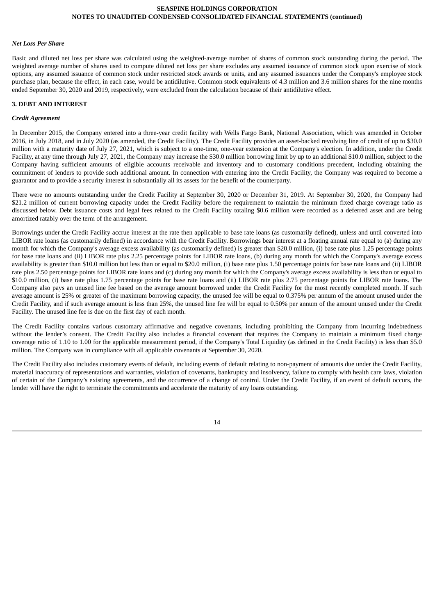### *Net Loss Per Share*

Basic and diluted net loss per share was calculated using the weighted-average number of shares of common stock outstanding during the period. The weighted average number of shares used to compute diluted net loss per share excludes any assumed issuance of common stock upon exercise of stock options, any assumed issuance of common stock under restricted stock awards or units, and any assumed issuances under the Company's employee stock purchase plan, because the effect, in each case, would be antidilutive. Common stock equivalents of 4.3 million and 3.6 million shares for the nine months ended September 30, 2020 and 2019, respectively, were excluded from the calculation because of their antidilutive effect.

# **3. DEBT AND INTEREST**

### *Credit Agreement*

In December 2015, the Company entered into a three-year credit facility with Wells Fargo Bank, National Association, which was amended in October 2016, in July 2018, and in July 2020 (as amended, the Credit Facility). The Credit Facility provides an asset-backed revolving line of credit of up to \$30.0 million with a maturity date of July 27, 2021, which is subject to a one-time, one-year extension at the Company's election. In addition, under the Credit Facility, at any time through July 27, 2021, the Company may increase the \$30.0 million borrowing limit by up to an additional \$10.0 million, subject to the Company having sufficient amounts of eligible accounts receivable and inventory and to customary conditions precedent, including obtaining the commitment of lenders to provide such additional amount. In connection with entering into the Credit Facility, the Company was required to become a guarantor and to provide a security interest in substantially all its assets for the benefit of the counterparty.

There were no amounts outstanding under the Credit Facility at September 30, 2020 or December 31, 2019. At September 30, 2020, the Company had \$21.2 million of current borrowing capacity under the Credit Facility before the requirement to maintain the minimum fixed charge coverage ratio as discussed below. Debt issuance costs and legal fees related to the Credit Facility totaling \$0.6 million were recorded as a deferred asset and are being amortized ratably over the term of the arrangement.

Borrowings under the Credit Facility accrue interest at the rate then applicable to base rate loans (as customarily defined), unless and until converted into LIBOR rate loans (as customarily defined) in accordance with the Credit Facility. Borrowings bear interest at a floating annual rate equal to (a) during any month for which the Company's average excess availability (as customarily defined) is greater than \$20.0 million, (i) base rate plus 1.25 percentage points for base rate loans and (ii) LIBOR rate plus 2.25 percentage points for LIBOR rate loans, (b) during any month for which the Company's average excess availability is greater than \$10.0 million but less than or equal to \$20.0 million, (i) base rate plus 1.50 percentage points for base rate loans and (ii) LIBOR rate plus 2.50 percentage points for LIBOR rate loans and (c) during any month for which the Company's average excess availability is less than or equal to \$10.0 million, (i) base rate plus 1.75 percentage points for base rate loans and (ii) LIBOR rate plus 2.75 percentage points for LIBOR rate loans. The Company also pays an unused line fee based on the average amount borrowed under the Credit Facility for the most recently completed month. If such average amount is 25% or greater of the maximum borrowing capacity, the unused fee will be equal to 0.375% per annum of the amount unused under the Credit Facility, and if such average amount is less than 25%, the unused line fee will be equal to 0.50% per annum of the amount unused under the Credit Facility. The unused line fee is due on the first day of each month.

The Credit Facility contains various customary affirmative and negative covenants, including prohibiting the Company from incurring indebtedness without the lender's consent. The Credit Facility also includes a financial covenant that requires the Company to maintain a minimum fixed charge coverage ratio of 1.10 to 1.00 for the applicable measurement period, if the Company's Total Liquidity (as defined in the Credit Facility) is less than \$5.0 million. The Company was in compliance with all applicable covenants at September 30, 2020.

The Credit Facility also includes customary events of default, including events of default relating to non-payment of amounts due under the Credit Facility, material inaccuracy of representations and warranties, violation of covenants, bankruptcy and insolvency, failure to comply with health care laws, violation of certain of the Company's existing agreements, and the occurrence of a change of control. Under the Credit Facility, if an event of default occurs, the lender will have the right to terminate the commitments and accelerate the maturity of any loans outstanding.

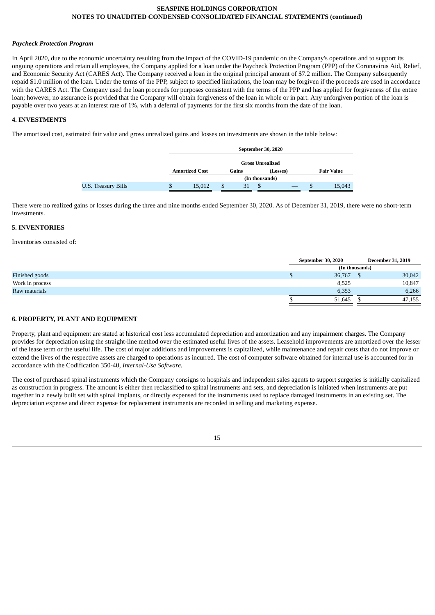### *Paycheck Protection Program*

In April 2020, due to the economic uncertainty resulting from the impact of the COVID-19 pandemic on the Company's operations and to support its ongoing operations and retain all employees, the Company applied for a loan under the Paycheck Protection Program (PPP) of the Coronavirus Aid, Relief, and Economic Security Act (CARES Act). The Company received a loan in the original principal amount of \$7.2 million. The Company subsequently repaid \$1.0 million of the loan. Under the terms of the PPP, subject to specified limitations, the loan may be forgiven if the proceeds are used in accordance with the CARES Act. The Company used the loan proceeds for purposes consistent with the terms of the PPP and has applied for forgiveness of the entire loan; however, no assurance is provided that the Company will obtain forgiveness of the loan in whole or in part. Any unforgiven portion of the loan is payable over two years at an interest rate of 1%, with a deferral of payments for the first six months from the date of the loan.

### **4. INVESTMENTS**

The amortized cost, estimated fair value and gross unrealized gains and losses on investments are shown in the table below:

|                     |    |                       | September 30, 2020 |    |                |          |                   |
|---------------------|----|-----------------------|--------------------|----|----------------|----------|-------------------|
|                     |    |                       |                    |    |                |          |                   |
|                     |    | <b>Amortized Cost</b> |                    |    |                | (Losses) | <b>Fair Value</b> |
|                     |    |                       |                    |    | (In thousands) |          |                   |
| U.S. Treasury Bills | ٠D | 15,012                |                    | 31 |                |          | 15,043            |

There were no realized gains or losses during the three and nine months ended September 30, 2020. As of December 31, 2019, there were no short-term investments.

# **5. INVENTORIES**

Inventories consisted of:

|                 | September 30, 2020 |                | <b>December 31, 2019</b> |
|-----------------|--------------------|----------------|--------------------------|
|                 |                    | (In thousands) |                          |
| Finished goods  | 36,767             |                | 30,042                   |
| Work in process | 8,525              |                | 10,847                   |
| Raw materials   | 6,353              |                | 6,266                    |
|                 | 51,645             |                | 47,155                   |

# **6. PROPERTY, PLANT AND EQUIPMENT**

Property, plant and equipment are stated at historical cost less accumulated depreciation and amortization and any impairment charges. The Company provides for depreciation using the straight-line method over the estimated useful lives of the assets. Leasehold improvements are amortized over the lesser of the lease term or the useful life. The cost of major additions and improvements is capitalized, while maintenance and repair costs that do not improve or extend the lives of the respective assets are charged to operations as incurred. The cost of computer software obtained for internal use is accounted for in accordance with the Codification 350-40, *Internal-Use Software.*

The cost of purchased spinal instruments which the Company consigns to hospitals and independent sales agents to support surgeries is initially capitalized as construction in progress. The amount is either then reclassified to spinal instruments and sets, and depreciation is initiated when instruments are put together in a newly built set with spinal implants, or directly expensed for the instruments used to replace damaged instruments in an existing set. The depreciation expense and direct expense for replacement instruments are recorded in selling and marketing expense.

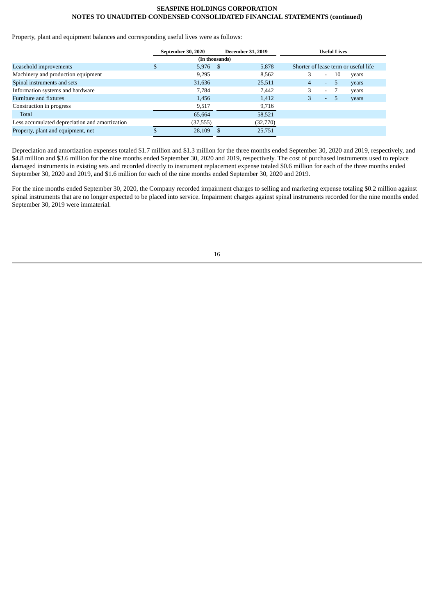Property, plant and equipment balances and corresponding useful lives were as follows:

|                                                | September 30, 2020 | <b>December 31, 2019</b> | <b>Useful Lives</b>                            |
|------------------------------------------------|--------------------|--------------------------|------------------------------------------------|
|                                                |                    | (In thousands)           |                                                |
| Leasehold improvements                         | \$<br>$5,976$ \$   | 5,878                    | Shorter of lease term or useful life           |
| Machinery and production equipment             | 9,295              | 8,562                    | 10<br>years<br>$\overline{\phantom{a}}$        |
| Spinal instruments and sets                    | 31,636             | 25,511                   | 5 <sub>1</sub><br>4<br>years<br>$\blacksquare$ |
| Information systems and hardware               | 7.784              | 7.442                    | 3<br>years<br>$\overline{\phantom{a}}$         |
| Furniture and fixtures                         | 1,456              | 1,412                    | 3<br>-5<br>years<br>$\blacksquare$             |
| Construction in progress                       | 9,517              | 9,716                    |                                                |
| <b>Total</b>                                   | 65,664             | 58,521                   |                                                |
| Less accumulated depreciation and amortization | (37, 555)          | (32,770)                 |                                                |
| Property, plant and equipment, net             | 28,109             | 25,751                   |                                                |

Depreciation and amortization expenses totaled \$1.7 million and \$1.3 million for the three months ended September 30, 2020 and 2019, respectively, and \$4.8 million and \$3.6 million for the nine months ended September 30, 2020 and 2019, respectively. The cost of purchased instruments used to replace damaged instruments in existing sets and recorded directly to instrument replacement expense totaled \$0.6 million for each of the three months ended September 30, 2020 and 2019, and \$1.6 million for each of the nine months ended September 30, 2020 and 2019.

For the nine months ended September 30, 2020, the Company recorded impairment charges to selling and marketing expense totaling \$0.2 million against spinal instruments that are no longer expected to be placed into service. Impairment charges against spinal instruments recorded for the nine months ended September 30, 2019 were immaterial.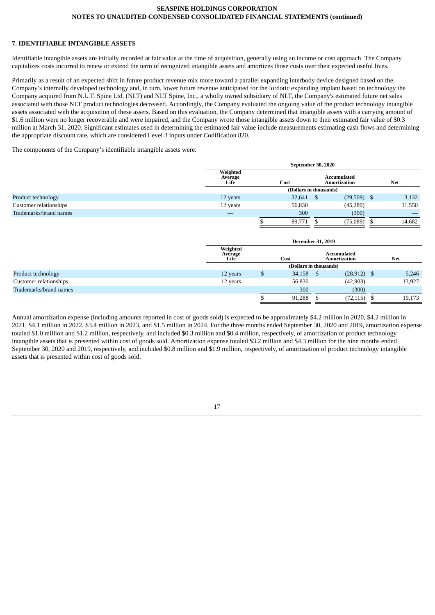# **7. IDENTIFIABLE INTANGIBLE ASSETS**

Identifiable intangible assets are initially recorded at fair value at the time of acquisition, generally using an income or cost approach. The Company capitalizes costs incurred to renew or extend the term of recognized intangible assets and amortizes those costs over their expected useful lives.

Primarily as a result of an expected shift in future product revenue mix more toward a parallel expanding interbody device designed based on the Company's internally developed technology and, in turn, lower future revenue anticipated for the lordotic expanding implant based on technology the Company acquired from N.L.T. Spine Ltd. (NLT) and NLT Spine, Inc., a wholly owned subsidiary of NLT, the Company's estimated future net sales associated with those NLT product technologies decreased. Accordingly, the Company evaluated the ongoing value of the product technology intangible assets associated with the acquisition of these assets. Based on this evaluation, the Company determined that intangible assets with a carrying amount of \$1.6 million were no longer recoverable and were impaired, and the Company wrote those intangible assets down to their estimated fair value of \$0.3 million at March 31, 2020. Significant estimates used in determining the estimated fair value include measurements estimating cash flows and determining the appropriate discount rate, which are considered Level 3 inputs under Codification 820.

The components of the Company's identifiable intangible assets were:

|                        | September 30, 2020                 |  |                        |  |                             |  |            |  |  |  |
|------------------------|------------------------------------|--|------------------------|--|-----------------------------|--|------------|--|--|--|
|                        | Weighted<br>Average<br><b>Life</b> |  | Cost                   |  | Accumulated<br>Amortization |  | <b>Net</b> |  |  |  |
|                        |                                    |  | (Dollars in thousands) |  |                             |  |            |  |  |  |
| Product technology     | 12 years                           |  | $32,641$ \$            |  | $(29,509)$ \$               |  | 3,132      |  |  |  |
| Customer relationships | 12 years                           |  | 56,830                 |  | (45,280)                    |  | 11,550     |  |  |  |
| Trademarks/brand names |                                    |  | 300                    |  | (300)                       |  |            |  |  |  |
|                        |                                    |  | 89,771                 |  | (75,089)                    |  | 14,682     |  |  |  |
|                        |                                    |  |                        |  |                             |  |            |  |  |  |

|                        | <b>December 31, 2019</b>                 |    |             |  |                |  |        |  |  |  |
|------------------------|------------------------------------------|----|-------------|--|----------------|--|--------|--|--|--|
|                        | Weighted<br>Average<br>Life <sup>-</sup> |    | Cost        |  | <b>Net</b>     |  |        |  |  |  |
|                        | (Dollars in thousands)                   |    |             |  |                |  |        |  |  |  |
| Product technology     | 12 years                                 | \$ | $34,158$ \$ |  | $(28,912)$ \$  |  | 5,246  |  |  |  |
| Customer relationships | 12 years                                 |    | 56,830      |  | (42,903)       |  | 13,927 |  |  |  |
| Trademarks/brand names | _                                        |    | 300         |  | (300)          |  |        |  |  |  |
|                        |                                          |    | 91,288      |  | $(72, 115)$ \$ |  | 19,173 |  |  |  |

Annual amortization expense (including amounts reported in cost of goods sold) is expected to be approximately \$4.2 million in 2020, \$4.2 million in 2021, \$4.1 million in 2022, \$3.4 million in 2023, and \$1.5 million in 2024. For the three months ended September 30, 2020 and 2019, amortization expense totaled \$1.0 million and \$1.2 million, respectively, and included \$0.3 million and \$0.4 million, respectively, of amortization of product technology intangible assets that is presented within cost of goods sold. Amortization expense totaled \$3.2 million and \$4.3 million for the nine months ended September 30, 2020 and 2019, respectively, and included \$0.8 million and \$1.9 million, respectively, of amortization of product technology intangible assets that is presented within cost of goods sold.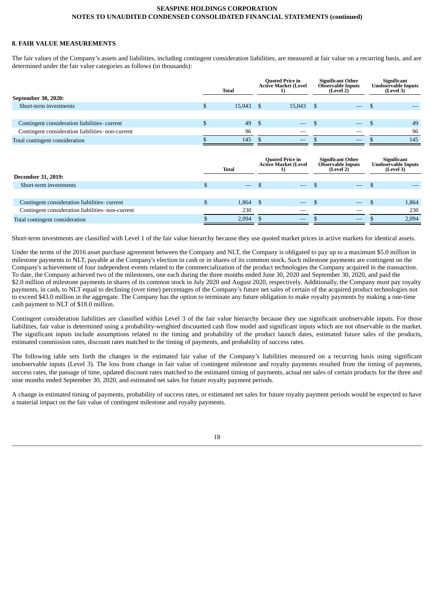# **8. FAIR VALUE MEASUREMENTS**

The fair values of the Company's assets and liabilities, including contingent consideration liabilities, are measured at fair value on a recurring basis, and are determined under the fair value categories as follows (in thousands):

|                                                   |    | <b>Total</b> |                    | <b>Quoted Price in</b><br><b>Active Market (Level</b><br>1) |                        | <b>Significant Other</b><br><b>Observable Inputs</b><br>(Level 2) | Significant<br><b>Unobservable Inputs</b><br>(Level 3) |                                                               |
|---------------------------------------------------|----|--------------|--------------------|-------------------------------------------------------------|------------------------|-------------------------------------------------------------------|--------------------------------------------------------|---------------------------------------------------------------|
| September 30, 2020:                               |    |              |                    |                                                             |                        |                                                                   |                                                        |                                                               |
| Short-term investments                            | \$ | 15,043       | \$                 | 15,043                                                      | $\mathbf{\mathcal{S}}$ |                                                                   | \$                                                     |                                                               |
|                                                   |    |              |                    |                                                             |                        |                                                                   |                                                        |                                                               |
| Contingent consideration liabilities-current      | \$ | 49           | $\mathbf{\hat{S}}$ |                                                             | \$                     |                                                                   | -\$                                                    | 49                                                            |
| Contingent consideration liabilities- non-current |    | 96           |                    |                                                             |                        |                                                                   |                                                        | 96                                                            |
| Total contingent consideration                    |    | 145          | $\mathbf{S}$       | —                                                           |                        |                                                                   | \$                                                     | 145                                                           |
|                                                   |    | <b>Total</b> |                    | <b>Quoted Price in</b><br><b>Active Market (Level</b><br>1) |                        | <b>Significant Other</b><br><b>Observable Inputs</b><br>(Level 2) |                                                        | <b>Significant</b><br><b>Unobservable Inputs</b><br>(Level 3) |
| December 31, 2019:                                |    |              |                    |                                                             |                        |                                                                   |                                                        |                                                               |
| Short-term investments                            | \$ |              |                    |                                                             |                        |                                                                   | \$                                                     |                                                               |
|                                                   |    |              |                    |                                                             |                        |                                                                   |                                                        |                                                               |
|                                                   |    |              |                    |                                                             |                        |                                                                   |                                                        |                                                               |
| Contingent consideration liabilities-current      | \$ | 1,864        | $\mathbf{s}$       |                                                             | -\$                    |                                                                   | \$                                                     | 1,864                                                         |
| Contingent consideration liabilities- non-current |    | 230          |                    |                                                             |                        |                                                                   |                                                        | 230                                                           |

Short-term investments are classified with Level 1 of the fair value hierarchy because they use quoted market prices in active markets for identical assets.

Under the terms of the 2016 asset purchase agreement between the Company and NLT, the Company is obligated to pay up to a maximum \$5.0 million in milestone payments to NLT, payable at the Company's election in cash or in shares of its common stock. Such milestone payments are contingent on the Company's achievement of four independent events related to the commercialization of the product technologies the Company acquired in the transaction. To date, the Company achieved two of the milestones, one each during the three months ended June 30, 2020 and September 30, 2020, and paid the \$2.0 million of milestone payments in shares of its common stock in July 2020 and August 2020, respectively. Additionally, the Company must pay royalty payments, in cash, to NLT equal to declining (over time) percentages of the Company's future net sales of certain of the acquired product technologies not to exceed \$43.0 million in the aggregate. The Company has the option to terminate any future obligation to make royalty payments by making a one-time cash payment to NLT of \$18.0 million.

Contingent consideration liabilities are classified within Level 3 of the fair value hierarchy because they use significant unobservable inputs. For those liabilities, fair value is determined using a probability-weighted discounted cash flow model and significant inputs which are not observable in the market. The significant inputs include assumptions related to the timing and probability of the product launch dates, estimated future sales of the products, estimated commission rates, discount rates matched to the timing of payments, and probability of success rates.

The following table sets forth the changes in the estimated fair value of the Company's liabilities measured on a recurring basis using significant unobservable inputs (Level 3). The loss from change in fair value of contingent milestone and royalty payments resulted from the timing of payments, success rates, the passage of time, updated discount rates matched to the estimated timing of payments, actual net sales of certain products for the three and nine months ended September 30, 2020, and estimated net sales for future royalty payment periods.

A change in estimated timing of payments, probability of success rates, or estimated net sales for future royalty payment periods would be expected to have a material impact on the fair value of contingent milestone and royalty payments.

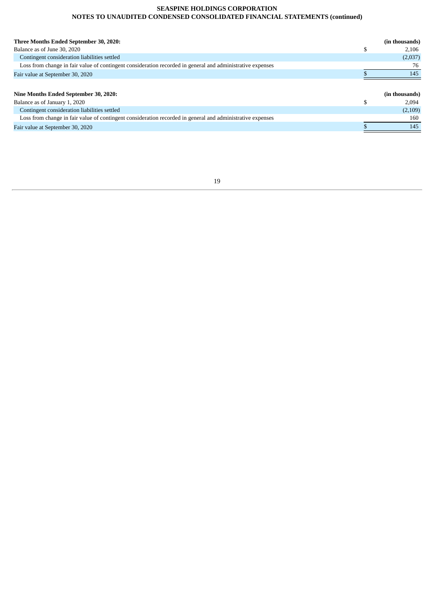| Three Months Ended September 30, 2020:                                                                     | (in thousands) |
|------------------------------------------------------------------------------------------------------------|----------------|
| Balance as of June 30, 2020                                                                                | 2.106          |
| Contingent consideration liabilities settled                                                               | (2,037)        |
| Loss from change in fair value of contingent consideration recorded in general and administrative expenses | 76             |
| Fair value at September 30, 2020                                                                           | 145            |
| Nine Months Ended September 20, 2020.                                                                      | (in thousands) |

| Nine Months Ended September 30, 2020:                                                                      | (in thousands) |
|------------------------------------------------------------------------------------------------------------|----------------|
| Balance as of January 1, 2020                                                                              | 2.094          |
| Contingent consideration liabilities settled                                                               | (2,109)        |
| Loss from change in fair value of contingent consideration recorded in general and administrative expenses | 160            |
| Fair value at September 30, 2020                                                                           | 145.           |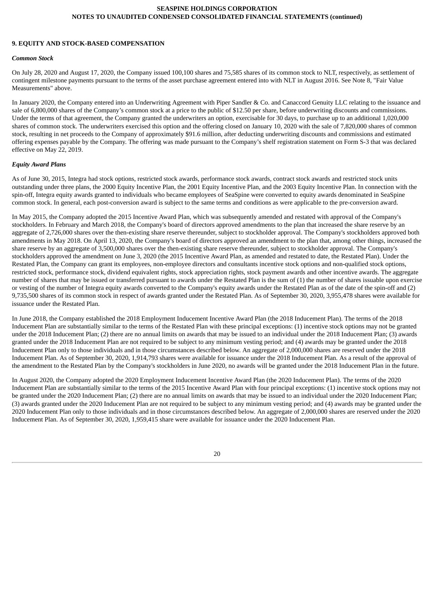# **9. EQUITY AND STOCK-BASED COMPENSATION**

### *Common Stock*

On July 28, 2020 and August 17, 2020, the Company issued 100,100 shares and 75,585 shares of its common stock to NLT, respectively, as settlement of contingent milestone payments pursuant to the terms of the asset purchase agreement entered into with NLT in August 2016. See Note 8, "Fair Value Measurements" above.

In January 2020, the Company entered into an Underwriting Agreement with Piper Sandler & Co. and Canaccord Genuity LLC relating to the issuance and sale of 6,800,000 shares of the Company's common stock at a price to the public of \$12.50 per share, before underwriting discounts and commissions. Under the terms of that agreement, the Company granted the underwriters an option, exercisable for 30 days, to purchase up to an additional 1,020,000 shares of common stock. The underwriters exercised this option and the offering closed on January 10, 2020 with the sale of 7,820,000 shares of common stock, resulting in net proceeds to the Company of approximately \$91.6 million, after deducting underwriting discounts and commissions and estimated offering expenses payable by the Company. The offering was made pursuant to the Company's shelf registration statement on Form S-3 that was declared effective on May 22, 2019.

# *Equity Award Plans*

As of June 30, 2015, Integra had stock options, restricted stock awards, performance stock awards, contract stock awards and restricted stock units outstanding under three plans, the 2000 Equity Incentive Plan, the 2001 Equity Incentive Plan, and the 2003 Equity Incentive Plan. In connection with the spin-off, Integra equity awards granted to individuals who became employees of SeaSpine were converted to equity awards denominated in SeaSpine common stock. In general, each post-conversion award is subject to the same terms and conditions as were applicable to the pre-conversion award.

In May 2015, the Company adopted the 2015 Incentive Award Plan, which was subsequently amended and restated with approval of the Company's stockholders. In February and March 2018, the Company's board of directors approved amendments to the plan that increased the share reserve by an aggregate of 2,726,000 shares over the then-existing share reserve thereunder, subject to stockholder approval. The Company's stockholders approved both amendments in May 2018. On April 13, 2020, the Company's board of directors approved an amendment to the plan that, among other things, increased the share reserve by an aggregate of 3,500,000 shares over the then-existing share reserve thereunder, subject to stockholder approval. The Company's stockholders approved the amendment on June 3, 2020 (the 2015 Incentive Award Plan, as amended and restated to date, the Restated Plan). Under the Restated Plan, the Company can grant its employees, non-employee directors and consultants incentive stock options and non-qualified stock options, restricted stock, performance stock, dividend equivalent rights, stock appreciation rights, stock payment awards and other incentive awards. The aggregate number of shares that may be issued or transferred pursuant to awards under the Restated Plan is the sum of (1) the number of shares issuable upon exercise or vesting of the number of Integra equity awards converted to the Company's equity awards under the Restated Plan as of the date of the spin-off and (2) 9,735,500 shares of its common stock in respect of awards granted under the Restated Plan. As of September 30, 2020, 3,955,478 shares were available for issuance under the Restated Plan.

In June 2018, the Company established the 2018 Employment Inducement Incentive Award Plan (the 2018 Inducement Plan). The terms of the 2018 Inducement Plan are substantially similar to the terms of the Restated Plan with these principal exceptions: (1) incentive stock options may not be granted under the 2018 Inducement Plan; (2) there are no annual limits on awards that may be issued to an individual under the 2018 Inducement Plan; (3) awards granted under the 2018 Inducement Plan are not required to be subject to any minimum vesting period; and (4) awards may be granted under the 2018 Inducement Plan only to those individuals and in those circumstances described below. An aggregate of 2,000,000 shares are reserved under the 2018 Inducement Plan. As of September 30, 2020, 1,914,793 shares were available for issuance under the 2018 Inducement Plan. As a result of the approval of the amendment to the Restated Plan by the Company's stockholders in June 2020, no awards will be granted under the 2018 Inducement Plan in the future.

In August 2020, the Company adopted the 2020 Employment Inducement Incentive Award Plan (the 2020 Inducement Plan). The terms of the 2020 Inducement Plan are substantially similar to the terms of the 2015 Incentive Award Plan with four principal exceptions: (1) incentive stock options may not be granted under the 2020 Inducement Plan; (2) there are no annual limits on awards that may be issued to an individual under the 2020 Inducement Plan; (3) awards granted under the 2020 Inducement Plan are not required to be subject to any minimum vesting period; and (4) awards may be granted under the 2020 Inducement Plan only to those individuals and in those circumstances described below. An aggregate of 2,000,000 shares are reserved under the 2020 Inducement Plan. As of September 30, 2020, 1,959,415 share were available for issuance under the 2020 Inducement Plan.

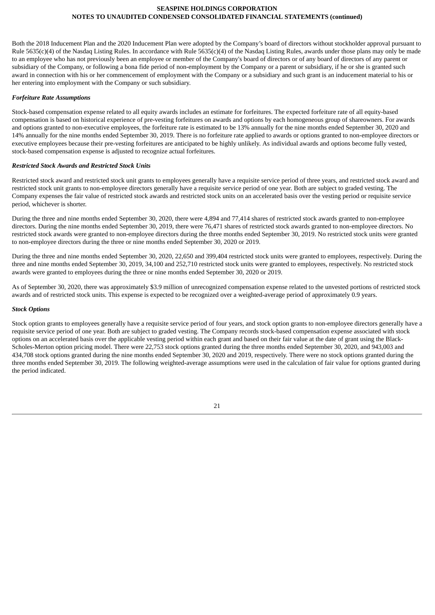Both the 2018 Inducement Plan and the 2020 Inducement Plan were adopted by the Company's board of directors without stockholder approval pursuant to Rule 5635(c)(4) of the Nasdaq Listing Rules. In accordance with Rule 5635(c)(4) of the Nasdaq Listing Rules, awards under those plans may only be made to an employee who has not previously been an employee or member of the Company's board of directors or of any board of directors of any parent or subsidiary of the Company, or following a bona fide period of non-employment by the Company or a parent or subsidiary, if he or she is granted such award in connection with his or her commencement of employment with the Company or a subsidiary and such grant is an inducement material to his or her entering into employment with the Company or such subsidiary.

### *Forfeiture Rate Assumptions*

Stock-based compensation expense related to all equity awards includes an estimate for forfeitures. The expected forfeiture rate of all equity-based compensation is based on historical experience of pre-vesting forfeitures on awards and options by each homogeneous group of shareowners. For awards and options granted to non-executive employees, the forfeiture rate is estimated to be 13% annually for the nine months ended September 30, 2020 and 14% annually for the nine months ended September 30, 2019. There is no forfeiture rate applied to awards or options granted to non-employee directors or executive employees because their pre-vesting forfeitures are anticipated to be highly unlikely. As individual awards and options become fully vested, stock-based compensation expense is adjusted to recognize actual forfeitures.

#### *Restricted Stock Awards and Restricted Stock Units*

Restricted stock award and restricted stock unit grants to employees generally have a requisite service period of three years, and restricted stock award and restricted stock unit grants to non-employee directors generally have a requisite service period of one year. Both are subject to graded vesting. The Company expenses the fair value of restricted stock awards and restricted stock units on an accelerated basis over the vesting period or requisite service period, whichever is shorter.

During the three and nine months ended September 30, 2020, there were 4,894 and 77,414 shares of restricted stock awards granted to non-employee directors. During the nine months ended September 30, 2019, there were 76,471 shares of restricted stock awards granted to non-employee directors. No restricted stock awards were granted to non-employee directors during the three months ended September 30, 2019. No restricted stock units were granted to non-employee directors during the three or nine months ended September 30, 2020 or 2019.

During the three and nine months ended September 30, 2020, 22,650 and 399,404 restricted stock units were granted to employees, respectively. During the three and nine months ended September 30, 2019, 34,100 and 252,710 restricted stock units were granted to employees, respectively. No restricted stock awards were granted to employees during the three or nine months ended September 30, 2020 or 2019.

As of September 30, 2020, there was approximately \$3.9 million of unrecognized compensation expense related to the unvested portions of restricted stock awards and of restricted stock units. This expense is expected to be recognized over a weighted-average period of approximately 0.9 years.

#### *Stock Options*

Stock option grants to employees generally have a requisite service period of four years, and stock option grants to non-employee directors generally have a requisite service period of one year. Both are subject to graded vesting. The Company records stock-based compensation expense associated with stock options on an accelerated basis over the applicable vesting period within each grant and based on their fair value at the date of grant using the Black-Scholes-Merton option pricing model. There were 22,753 stock options granted during the three months ended September 30, 2020, and 943,003 and 434,708 stock options granted during the nine months ended September 30, 2020 and 2019, respectively. There were no stock options granted during the three months ended September 30, 2019. The following weighted-average assumptions were used in the calculation of fair value for options granted during the period indicated.

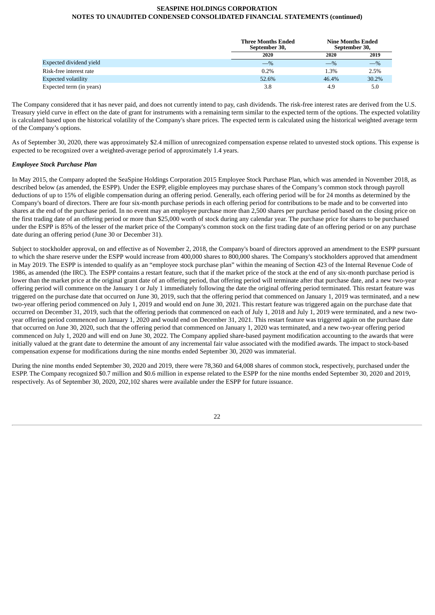|                          | <b>Three Months Ended</b><br>September 30, | <b>Nine Months Ended</b><br>September 30, |       |
|--------------------------|--------------------------------------------|-------------------------------------------|-------|
|                          | 2020                                       | 2020                                      | 2019  |
| Expected dividend yield  | $-$ %                                      | $-$ %                                     | $-$ % |
| Risk-free interest rate  | $0.2\%$                                    | 1.3%                                      | 2.5%  |
| Expected volatility      | 52.6%                                      | 46.4%                                     | 30.2% |
| Expected term (in years) | 3.8                                        | 4.9                                       | 5.0   |

The Company considered that it has never paid, and does not currently intend to pay, cash dividends. The risk-free interest rates are derived from the U.S. Treasury yield curve in effect on the date of grant for instruments with a remaining term similar to the expected term of the options. The expected volatility is calculated based upon the historical volatility of the Company's share prices. The expected term is calculated using the historical weighted average term of the Company's options.

As of September 30, 2020, there was approximately \$2.4 million of unrecognized compensation expense related to unvested stock options. This expense is expected to be recognized over a weighted-average period of approximately 1.4 years.

# *Employee Stock Purchase Plan*

In May 2015, the Company adopted the SeaSpine Holdings Corporation 2015 Employee Stock Purchase Plan, which was amended in November 2018, as described below (as amended, the ESPP). Under the ESPP, eligible employees may purchase shares of the Company's common stock through payroll deductions of up to 15% of eligible compensation during an offering period. Generally, each offering period will be for 24 months as determined by the Company's board of directors. There are four six-month purchase periods in each offering period for contributions to be made and to be converted into shares at the end of the purchase period. In no event may an employee purchase more than 2,500 shares per purchase period based on the closing price on the first trading date of an offering period or more than \$25,000 worth of stock during any calendar year. The purchase price for shares to be purchased under the ESPP is 85% of the lesser of the market price of the Company's common stock on the first trading date of an offering period or on any purchase date during an offering period (June 30 or December 31).

Subject to stockholder approval, on and effective as of November 2, 2018, the Company's board of directors approved an amendment to the ESPP pursuant to which the share reserve under the ESPP would increase from 400,000 shares to 800,000 shares. The Company's stockholders approved that amendment in May 2019. The ESPP is intended to qualify as an "employee stock purchase plan" within the meaning of Section 423 of the Internal Revenue Code of 1986, as amended (the IRC). The ESPP contains a restart feature, such that if the market price of the stock at the end of any six-month purchase period is lower than the market price at the original grant date of an offering period, that offering period will terminate after that purchase date, and a new two-year offering period will commence on the January 1 or July 1 immediately following the date the original offering period terminated. This restart feature was triggered on the purchase date that occurred on June 30, 2019, such that the offering period that commenced on January 1, 2019 was terminated, and a new two-year offering period commenced on July 1, 2019 and would end on June 30, 2021. This restart feature was triggered again on the purchase date that occurred on December 31, 2019, such that the offering periods that commenced on each of July 1, 2018 and July 1, 2019 were terminated, and a new twoyear offering period commenced on January 1, 2020 and would end on December 31, 2021. This restart feature was triggered again on the purchase date that occurred on June 30, 2020, such that the offering period that commenced on January 1, 2020 was terminated, and a new two-year offering period commenced on July 1, 2020 and will end on June 30, 2022. The Company applied share-based payment modification accounting to the awards that were initially valued at the grant date to determine the amount of any incremental fair value associated with the modified awards. The impact to stock-based compensation expense for modifications during the nine months ended September 30, 2020 was immaterial.

During the nine months ended September 30, 2020 and 2019, there were 78,360 and 64,008 shares of common stock, respectively, purchased under the ESPP. The Company recognized \$0.7 million and \$0.6 million in expense related to the ESPP for the nine months ended September 30, 2020 and 2019, respectively. As of September 30, 2020, 202,102 shares were available under the ESPP for future issuance.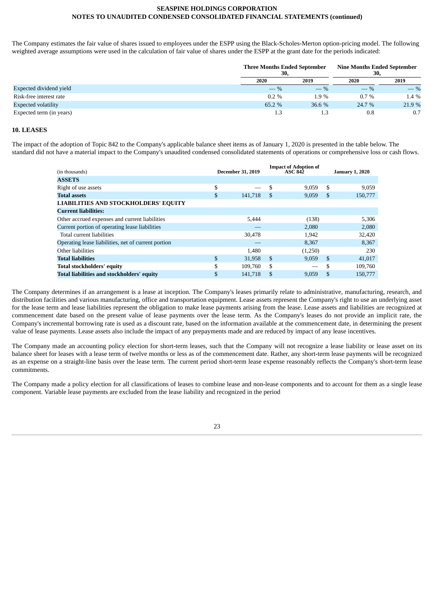The Company estimates the fair value of shares issued to employees under the ESPP using the Black-Scholes-Merton option-pricing model. The following weighted average assumptions were used in the calculation of fair value of shares under the ESPP at the grant date for the periods indicated:

|                            | <b>Three Months Ended September</b><br>30. |        | <b>Nine Months Ended September</b><br>30, |         |  |
|----------------------------|--------------------------------------------|--------|-------------------------------------------|---------|--|
|                            | 2020                                       | 2019   | 2020                                      | 2019    |  |
| Expected dividend yield    | $-$ %                                      | $-$ %  | $-$ %                                     | $-$ %   |  |
| Risk-free interest rate    | $0.2 \%$                                   | 1.9 %  | $0.7\%$                                   | $1.4\%$ |  |
| <b>Expected volatility</b> | 65.2 %                                     | 36.6 % | 24.7 %                                    | 21.9 %  |  |
| Expected term (in years)   | 1.3                                        | 1.3    | 0.8                                       | 0.7     |  |

### **10. LEASES**

The impact of the adoption of Topic 842 to the Company's applicable balance sheet items as of January 1, 2020 is presented in the table below. The standard did not have a material impact to the Company's unaudited condensed consolidated statements of operations or comprehensive loss or cash flows.

|                                                     |                          | <b>Impact of Adoption of</b> |    |                        |
|-----------------------------------------------------|--------------------------|------------------------------|----|------------------------|
| (in thousands)                                      | <b>December 31, 2019</b> | <b>ASC 842</b>               |    | <b>January 1, 2020</b> |
| <b>ASSETS</b>                                       |                          |                              |    |                        |
| Right of use assets                                 | \$                       | \$<br>9.059                  | \$ | 9.059                  |
| <b>Total assets</b>                                 | \$<br>141,718            | \$<br>9,059                  | S  | 150,777                |
| <b>LIABILITIES AND STOCKHOLDERS' EQUITY</b>         |                          |                              |    |                        |
| <b>Current liabilities:</b>                         |                          |                              |    |                        |
| Other accrued expenses and current liabilities      | 5,444                    | (138)                        |    | 5,306                  |
| Current portion of operating lease liabilities      |                          | 2,080                        |    | 2,080                  |
| Total current liabilities                           | 30,478                   | 1,942                        |    | 32,420                 |
| Operating lease liabilities, net of current portion |                          | 8,367                        |    | 8.367                  |
| Other liabilities                                   | 1,480                    | (1,250)                      |    | 230                    |
| <b>Total liabilities</b>                            | \$<br>31,958             | \$<br>9.059                  | S  | 41,017                 |
| <b>Total stockholders' equity</b>                   | \$<br>109,760            | \$                           | \$ | 109,760                |
| Total liabilities and stockholders' equity          | \$<br>141,718            | \$<br>9,059                  | \$ | 150,777                |

The Company determines if an arrangement is a lease at inception. The Company's leases primarily relate to administrative, manufacturing, research, and distribution facilities and various manufacturing, office and transportation equipment. Lease assets represent the Company's right to use an underlying asset for the lease term and lease liabilities represent the obligation to make lease payments arising from the lease. Lease assets and liabilities are recognized at commencement date based on the present value of lease payments over the lease term. As the Company's leases do not provide an implicit rate, the Company's incremental borrowing rate is used as a discount rate, based on the information available at the commencement date, in determining the present value of lease payments. Lease assets also include the impact of any prepayments made and are reduced by impact of any lease incentives.

The Company made an accounting policy election for short-term leases, such that the Company will not recognize a lease liability or lease asset on its balance sheet for leases with a lease term of twelve months or less as of the commencement date. Rather, any short-term lease payments will be recognized as an expense on a straight-line basis over the lease term. The current period short-term lease expense reasonably reflects the Company's short-term lease commitments.

The Company made a policy election for all classifications of leases to combine lease and non-lease components and to account for them as a single lease component. Variable lease payments are excluded from the lease liability and recognized in the period

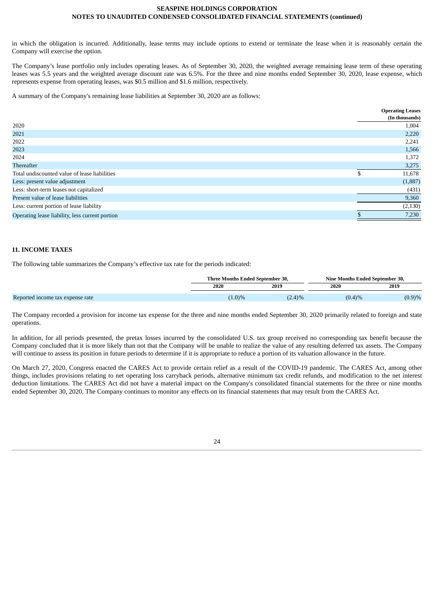in which the obligation is incurred. Additionally, lease terms may include options to extend or terminate the lease when it is reasonably certain the Company will exercise the option.

The Company's lease portfolio only includes operating leases. As of September 30, 2020, the weighted average remaining lease term of these operating leases was 5.5 years and the weighted average discount rate was 6.5%. For the three and nine months ended September 30, 2020, lease expense, which represents expense from operating leases, was \$0.5 million and \$1.6 million, respectively.

A summary of the Company's remaining lease liabilities at September 30, 2020 are as follows:

|                                                 | <b>Operating Leases</b> |
|-------------------------------------------------|-------------------------|
|                                                 | (In thousands)          |
| 2020                                            | 1,004                   |
| 2021                                            | 2,220                   |
| 2022                                            | 2,241                   |
| 2023                                            | 1,566                   |
| 2024                                            | 1,372                   |
| Thereafter                                      | 3,275                   |
| Total undiscounted value of lease liabilities   | 11,678                  |
| Less: present value adjustment                  | (1,887)                 |
| Less: short-term leases not capitalized         | (431)                   |
| Present value of lease liabilities              | 9,360                   |
| Less: current portion of lease liability        | (2, 130)                |
| Operating lease liability, less current portion | 7,230                   |

# **11. INCOME TAXES**

The following table summarizes the Company's effective tax rate for the periods indicated:

|                                  | <b>Three Months Ended September 30.</b> |        | Nine Months Ended September 30. |        |  |  |
|----------------------------------|-----------------------------------------|--------|---------------------------------|--------|--|--|
|                                  | 2020                                    | 2019   | 2020                            | 2019   |  |  |
| Reported income tax expense rate | $(1.0)\%$                               | (2.4)% | $(0.4)\%$                       | (0.9)% |  |  |

The Company recorded a provision for income tax expense for the three and nine months ended September 30, 2020 primarily related to foreign and state operations.

In addition, for all periods presented, the pretax losses incurred by the consolidated U.S. tax group received no corresponding tax benefit because the Company concluded that it is more likely than not that the Company will be unable to realize the value of any resulting deferred tax assets. The Company will continue to assess its position in future periods to determine if it is appropriate to reduce a portion of its valuation allowance in the future.

On March 27, 2020, Congress enacted the CARES Act to provide certain relief as a result of the COVID-19 pandemic. The CARES Act, among other things, includes provisions relating to net operating loss carryback periods, alternative minimum tax credit refunds, and modification to the net interest deduction limitations. The CARES Act did not have a material impact on the Company's consolidated financial statements for the three or nine months ended September 30, 2020. The Company continues to monitor any effects on its financial statements that may result from the CARES Act.

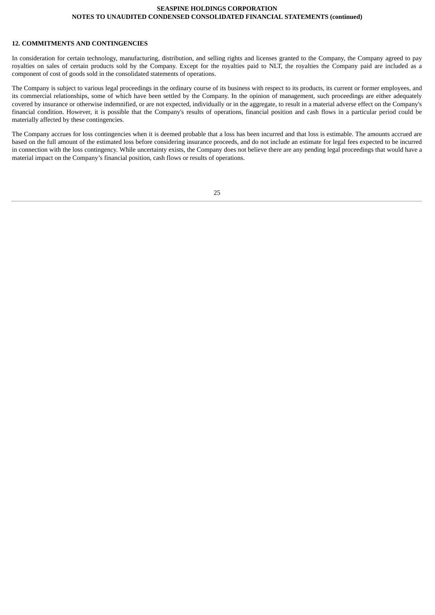# **12. COMMITMENTS AND CONTINGENCIES**

In consideration for certain technology, manufacturing, distribution, and selling rights and licenses granted to the Company, the Company agreed to pay royalties on sales of certain products sold by the Company. Except for the royalties paid to NLT, the royalties the Company paid are included as a component of cost of goods sold in the consolidated statements of operations.

The Company is subject to various legal proceedings in the ordinary course of its business with respect to its products, its current or former employees, and its commercial relationships, some of which have been settled by the Company. In the opinion of management, such proceedings are either adequately covered by insurance or otherwise indemnified, or are not expected, individually or in the aggregate, to result in a material adverse effect on the Company's financial condition. However, it is possible that the Company's results of operations, financial position and cash flows in a particular period could be materially affected by these contingencies.

The Company accrues for loss contingencies when it is deemed probable that a loss has been incurred and that loss is estimable. The amounts accrued are based on the full amount of the estimated loss before considering insurance proceeds, and do not include an estimate for legal fees expected to be incurred in connection with the loss contingency. While uncertainty exists, the Company does not believe there are any pending legal proceedings that would have a material impact on the Company's financial position, cash flows or results of operations.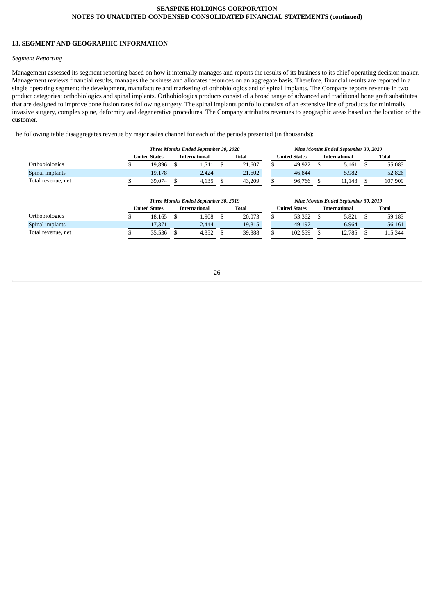# **13. SEGMENT AND GEOGRAPHIC INFORMATION**

### *Segment Reporting*

Management assessed its segment reporting based on how it internally manages and reports the results of its business to its chief operating decision maker. Management reviews financial results, manages the business and allocates resources on an aggregate basis. Therefore, financial results are reported in a single operating segment: the development, manufacture and marketing of orthobiologics and of spinal implants. The Company reports revenue in two product categories: orthobiologics and spinal implants. Orthobiologics products consist of a broad range of advanced and traditional bone graft substitutes that are designed to improve bone fusion rates following surgery. The spinal implants portfolio consists of an extensive line of products for minimally invasive surgery, complex spine, deformity and degenerative procedures. The Company attributes revenues to geographic areas based on the location of the customer.

The following table disaggregates revenue by major sales channel for each of the periods presented (in thousands):

|                    | Three Months Ended September 30, 2020 |                      |  |               |  | Nine Months Ended September 30, 2020 |  |                      |  |                      |  |         |
|--------------------|---------------------------------------|----------------------|--|---------------|--|--------------------------------------|--|----------------------|--|----------------------|--|---------|
|                    |                                       | <b>United States</b> |  | International |  | Total                                |  | <b>United States</b> |  | <b>International</b> |  | Total   |
| Orthobiologics     |                                       | 19.896               |  | ,711          |  | 21.607                               |  | 49,922               |  | 5,161                |  | 55,083  |
| Spinal implants    |                                       | 19.178               |  | 2.424         |  | 21.602                               |  | 46.844               |  | 5.982                |  | 52,826  |
| Total revenue, net |                                       | 39,074               |  | 4.135         |  | 43.209                               |  | 96,766               |  | 11,143               |  | 107,909 |

<span id="page-25-0"></span>

|                    | <b>Three Months Ended September 30, 2019</b> |                      |  |               |  |        | Nine Months Ended September 30, 2019 |                      |         |
|--------------------|----------------------------------------------|----------------------|--|---------------|--|--------|--------------------------------------|----------------------|---------|
|                    |                                              | <b>United States</b> |  | International |  | Total  | <b>United States</b>                 | <b>International</b> | Total   |
| Orthobiologics     |                                              | 18.165               |  | .908          |  | 20,073 | 53.362                               | 5,821                | 59,183  |
| Spinal implants    |                                              | 17.371               |  | 2.444         |  | 19.815 | 49.197                               | 6.964                | 56,161  |
| Total revenue, net |                                              | 35.536               |  | 4.352         |  | 39.888 | 102.559                              | 12.785               | 115,344 |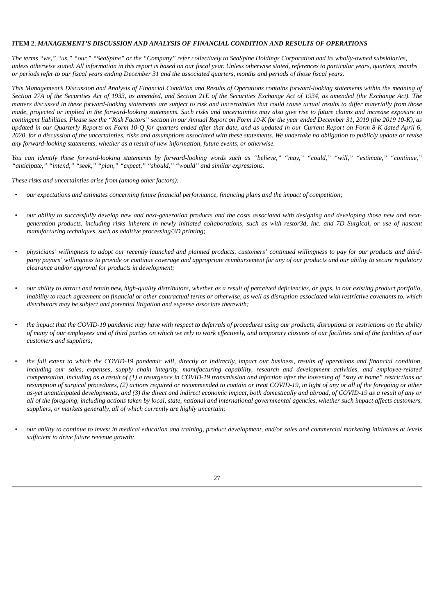## **ITEM 2.** *MANAGEMENT'S DISCUSSION AND ANALYSIS OF FINANCIAL CONDITION AND RESULTS OF OPERATIONS*

The terms "we," "us," "our," "SeaSpine" or the "Company" refer collectively to SeaSpine Holdings Corporation and its wholly-owned subsidiaries, unless otherwise stated. All information in this report is based on our fiscal year. Unless otherwise stated, references to particular years, quarters, months or periods refer to our fiscal years ending December 31 and the associated quarters, months and periods of those fiscal years.

This Management's Discussion and Analysis of Financial Condition and Results of Operations contains forward-looking statements within the meaning of Section 27A of the Securities Act of 1933, as amended, and Section 21E of the Securities Exchange Act of 1934, as amended (the Exchange Act). The matters discussed in these forward-looking statements are subject to risk and uncertainties that could cause actual results to differ materially from those made, projected or implied in the forward-looking statements. Such risks and uncertainties may also give rise to future claims and increase exposure to contingent liabilities. Please see the "Risk Factors" section in our Annual Report on Form 10-K for the year ended December 31, 2019 (the 2019 10-K), as updated in our Quarterly Reports on Form 10-Q for quarters ended after that date, and as updated in our Current Report on Form 8-K dated April 6, 2020, for a discussion of the uncertainties, risks and assumptions associated with these statements. We undertake no obligation to publicly update or revise *any forward-looking statements, whether as a result of new information, future events, or otherwise.*

You can identify these forward-looking statements by forward-looking words such as "believe," "may," "could," "will," "estimate," "continue," *"anticipate," "intend," "seek," "plan," "expect," "should," "would" and similar expressions.*

*These risks and uncertainties arise from (among other factors):*

- our expectations and estimates concerning future financial performance, financing plans and the impact of competition;
- our ability to successfully develop new and next-generation products and the costs associated with designing and developing those new and nextgeneration products, including risks inherent in newly initiated collaborations, such as with restor3d, Inc. and 7D Surgical, or use of nascent *manufacturing techniques, such as additive processing/3D printing;*
- physicians' willingness to adopt our recently launched and planned products, customers' continued willingness to pay for our products and thirdparty payors' willingness to provide or continue coverage and appropriate reimbursement for any of our products and our ability to secure regulatory *clearance and/or approval for products in development;*
- our ability to attract and retain new, high-quality distributors, whether as a result of perceived deficiencies, or gaps, in our existing product portfolio, inability to reach agreement on financial or other contractual terms or otherwise, as well as disruption associated with restrictive covenants to, which *distributors may be subject and potential litigation and expense associate therewith;*
- the impact that the COVID-19 pandemic may have with respect to deferrals of procedures using our products, disruptions or restrictions on the ability of many of our employees and of third parties on which we rely to work effectively, and temporary closures of our facilities and of the facilities of our *customers and suppliers;*
- the full extent to which the COVID-19 pandemic will, directly or indirectly, impact our business, results of operations and financial condition, including our sales, expenses, supply chain integrity, manufacturing capability, research and development activities, and employee-related compensation, including as a result of (1) a resurgence in COVID-19 transmission and infection after the loosening of "stay at home" restrictions or resumption of surgical procedures, (2) actions required or recommended to contain or treat COVID-19, in light of any or all of the foregoing or other as-yet unanticipated developments, and (3) the direct and indirect economic impact, both domestically and abroad, of COVID-19 as a result of any or all of the foregoing, including actions taken by local, state, national and international governmental agencies, whether such impact affects customers, *suppliers, or markets generally, all of which currently are highly uncertain;*
- our ability to continue to invest in medical education and training, product development, and/or sales and commercial marketing initiatives at levels *sufficient to drive future revenue growth;*

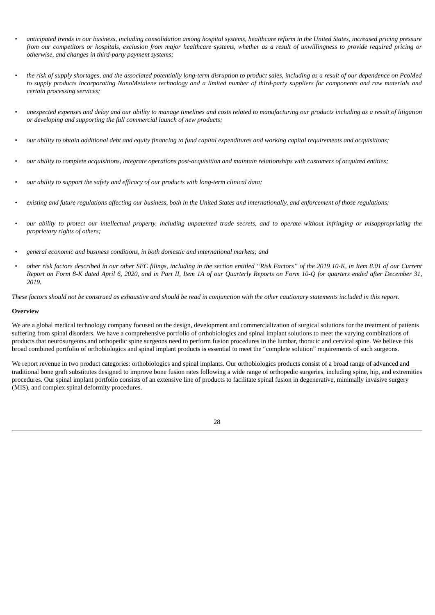- anticipated trends in our business, including consolidation among hospital systems, healthcare reform in the United States, increased pricing pressure from our competitors or hospitals, exclusion from major healthcare systems, whether as a result of unwillinaness to provide required pricing or *otherwise, and changes in third-party payment systems;*
- the risk of supply shortages, and the associated potentially long-term disruption to product sales, including as a result of our dependence on PcoMed to supply products incorporating NanoMetalene technology and a limited number of third-party suppliers for components and raw materials and *certain processing services;*
- unexpected expenses and delay and our ability to manage timelines and costs related to manufacturing our products including as a result of litigation *or developing and supporting the full commercial launch of new products;*
- our ability to obtain additional debt and equity financing to fund capital expenditures and working capital requirements and acquisitions;
- our ability to complete acquisitions, integrate operations post-acquisition and maintain relationships with customers of acquired entities;
- *• our ability to support the safety and efficacy of our products with long-term clinical data;*
- existing and future regulations affecting our business, both in the United States and internationally, and enforcement of those regulations;
- our ability to protect our intellectual property, including unpatented trade secrets, and to operate without infringing or misappropriating the *proprietary rights of others;*
- *• general economic and business conditions, in both domestic and international markets; and*
- other risk factors described in our other SEC filings, including in the section entitled "Risk Factors" of the 2019 10-K, in Item 8.01 of our Current Report on Form 8-K dated April 6, 2020, and in Part II, Item 1A of our Quarterly Reports on Form 10-Q for quarters ended after December 31, *2019.*

These factors should not be construed as exhaustive and should be read in conjunction with the other cautionary statements included in this report.

#### **Overview**

We are a global medical technology company focused on the design, development and commercialization of surgical solutions for the treatment of patients suffering from spinal disorders. We have a comprehensive portfolio of orthobiologics and spinal implant solutions to meet the varying combinations of products that neurosurgeons and orthopedic spine surgeons need to perform fusion procedures in the lumbar, thoracic and cervical spine. We believe this broad combined portfolio of orthobiologics and spinal implant products is essential to meet the "complete solution" requirements of such surgeons.

We report revenue in two product categories: orthobiologics and spinal implants. Our orthobiologics products consist of a broad range of advanced and traditional bone graft substitutes designed to improve bone fusion rates following a wide range of orthopedic surgeries, including spine, hip, and extremities procedures. Our spinal implant portfolio consists of an extensive line of products to facilitate spinal fusion in degenerative, minimally invasive surgery (MIS), and complex spinal deformity procedures.

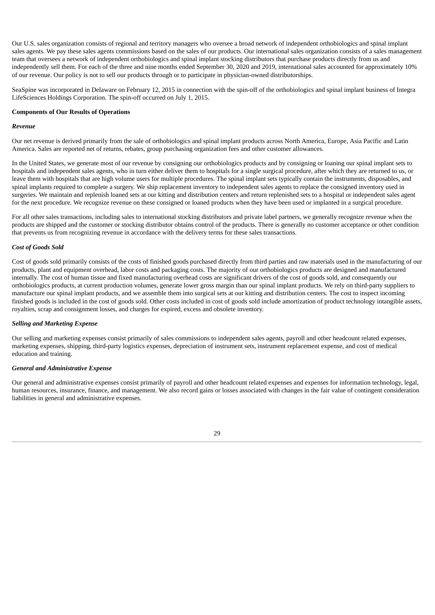Our U.S. sales organization consists of regional and territory managers who oversee a broad network of independent orthobiologics and spinal implant sales agents. We pay these sales agents commissions based on the sales of our products. Our international sales organization consists of a sales management team that oversees a network of independent orthobiologics and spinal implant stocking distributors that purchase products directly from us and independently sell them. For each of the three and nine months ended September 30, 2020 and 2019, international sales accounted for approximately 10% of our revenue. Our policy is not to sell our products through or to participate in physician-owned distributorships.

SeaSpine was incorporated in Delaware on February 12, 2015 in connection with the spin-off of the orthobiologics and spinal implant business of Integra LifeSciences Holdings Corporation. The spin-off occurred on July 1, 2015.

#### **Components of Our Results of Operations**

### *Revenue*

Our net revenue is derived primarily from the sale of orthobiologics and spinal implant products across North America, Europe, Asia Pacific and Latin America. Sales are reported net of returns, rebates, group purchasing organization fees and other customer allowances.

In the United States, we generate most of our revenue by consigning our orthobiologics products and by consigning or loaning our spinal implant sets to hospitals and independent sales agents, who in turn either deliver them to hospitals for a single surgical procedure, after which they are returned to us, or leave them with hospitals that are high volume users for multiple procedures. The spinal implant sets typically contain the instruments, disposables, and spinal implants required to complete a surgery. We ship replacement inventory to independent sales agents to replace the consigned inventory used in surgeries. We maintain and replenish loaned sets at our kitting and distribution centers and return replenished sets to a hospital or independent sales agent for the next procedure. We recognize revenue on these consigned or loaned products when they have been used or implanted in a surgical procedure.

For all other sales transactions, including sales to international stocking distributors and private label partners, we generally recognize revenue when the products are shipped and the customer or stocking distributor obtains control of the products. There is generally no customer acceptance or other condition that prevents us from recognizing revenue in accordance with the delivery terms for these sales transactions.

# *Cost of Goods Sold*

Cost of goods sold primarily consists of the costs of finished goods purchased directly from third parties and raw materials used in the manufacturing of our products, plant and equipment overhead, labor costs and packaging costs. The majority of our orthobiologics products are designed and manufactured internally. The cost of human tissue and fixed manufacturing overhead costs are significant drivers of the cost of goods sold, and consequently our orthobiologics products, at current production volumes, generate lower gross margin than our spinal implant products. We rely on third-party suppliers to manufacture our spinal implant products, and we assemble them into surgical sets at our kitting and distribution centers. The cost to inspect incoming finished goods is included in the cost of goods sold. Other costs included in cost of goods sold include amortization of product technology intangible assets, royalties, scrap and consignment losses, and charges for expired, excess and obsolete inventory.

### *Selling and Marketing Expense*

Our selling and marketing expenses consist primarily of sales commissions to independent sales agents, payroll and other headcount related expenses, marketing expenses, shipping, third-party logistics expenses, depreciation of instrument sets, instrument replacement expense, and cost of medical education and training.

### *General and Administrative Expense*

Our general and administrative expenses consist primarily of payroll and other headcount related expenses and expenses for information technology, legal, human resources, insurance, finance, and management. We also record gains or losses associated with changes in the fair value of contingent consideration liabilities in general and administrative expenses.

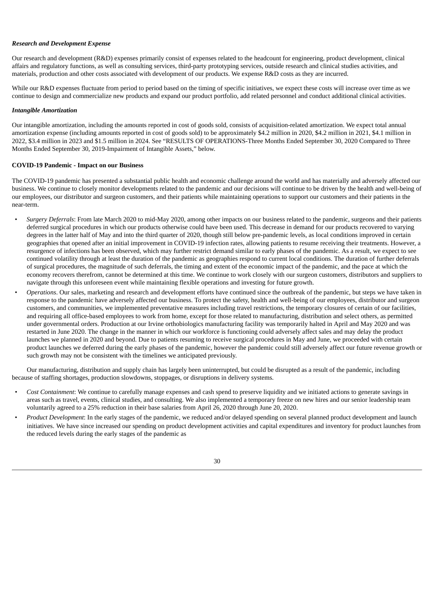### *Research and Development Expense*

Our research and development (R&D) expenses primarily consist of expenses related to the headcount for engineering, product development, clinical affairs and regulatory functions, as well as consulting services, third-party prototyping services, outside research and clinical studies activities, and materials, production and other costs associated with development of our products. We expense R&D costs as they are incurred.

While our R&D expenses fluctuate from period to period based on the timing of specific initiatives, we expect these costs will increase over time as we continue to design and commercialize new products and expand our product portfolio, add related personnel and conduct additional clinical activities.

### *Intangible Amortization*

Our intangible amortization, including the amounts reported in cost of goods sold, consists of acquisition-related amortization. We expect total annual amortization expense (including amounts reported in cost of goods sold) to be approximately \$4.2 million in 2020, \$4.2 million in 2021, \$4.1 million in 2022, \$3.4 million in 2023 and \$1.5 million in 2024. See "RESULTS OF OPERATIONS-Three Months Ended September 30, 2020 Compared to Three Months Ended September 30, 2019-Impairment of Intangible Assets," below.

#### **COVID-19 Pandemic - Impact on our Business**

The COVID-19 pandemic has presented a substantial public health and economic challenge around the world and has materially and adversely affected our business. We continue to closely monitor developments related to the pandemic and our decisions will continue to be driven by the health and well-being of our employees, our distributor and surgeon customers, and their patients while maintaining operations to support our customers and their patients in the near-term.

- *Surgery Deferrals*: From late March 2020 to mid-May 2020, among other impacts on our business related to the pandemic, surgeons and their patients deferred surgical procedures in which our products otherwise could have been used. This decrease in demand for our products recovered to varying degrees in the latter half of May and into the third quarter of 2020, though still below pre-pandemic levels, as local conditions improved in certain geographies that opened after an initial improvement in COVID-19 infection rates, allowing patients to resume receiving their treatments. However, a resurgence of infections has been observed, which may further restrict demand similar to early phases of the pandemic. As a result, we expect to see continued volatility through at least the duration of the pandemic as geographies respond to current local conditions. The duration of further deferrals of surgical procedures, the magnitude of such deferrals, the timing and extent of the economic impact of the pandemic, and the pace at which the economy recovers therefrom, cannot be determined at this time. We continue to work closely with our surgeon customers, distributors and suppliers to navigate through this unforeseen event while maintaining flexible operations and investing for future growth.
- *Operations*. Our sales, marketing and research and development efforts have continued since the outbreak of the pandemic, but steps we have taken in response to the pandemic have adversely affected our business. To protect the safety, health and well-being of our employees, distributor and surgeon customers, and communities, we implemented preventative measures including travel restrictions, the temporary closures of certain of our facilities, and requiring all office-based employees to work from home, except for those related to manufacturing, distribution and select others, as permitted under governmental orders. Production at our Irvine orthobiologics manufacturing facility was temporarily halted in April and May 2020 and was restarted in June 2020. The change in the manner in which our workforce is functioning could adversely affect sales and may delay the product launches we planned in 2020 and beyond. Due to patients resuming to receive surgical procedures in May and June, we proceeded with certain product launches we deferred during the early phases of the pandemic, however the pandemic could still adversely affect our future revenue growth or such growth may not be consistent with the timelines we anticipated previously.

Our manufacturing, distribution and supply chain has largely been uninterrupted, but could be disrupted as a result of the pandemic, including because of staffing shortages, production slowdowns, stoppages, or disruptions in delivery systems.

- *• Cost Containment*: We continue to carefully manage expenses and cash spend to preserve liquidity and we initiated actions to generate savings in areas such as travel, events, clinical studies, and consulting. We also implemented a temporary freeze on new hires and our senior leadership team voluntarily agreed to a 25% reduction in their base salaries from April 26, 2020 through June 20, 2020.
- *Product Development*: In the early stages of the pandemic, we reduced and/or delayed spending on several planned product development and launch initiatives. We have since increased our spending on product development activities and capital expenditures and inventory for product launches from the reduced levels during the early stages of the pandemic as

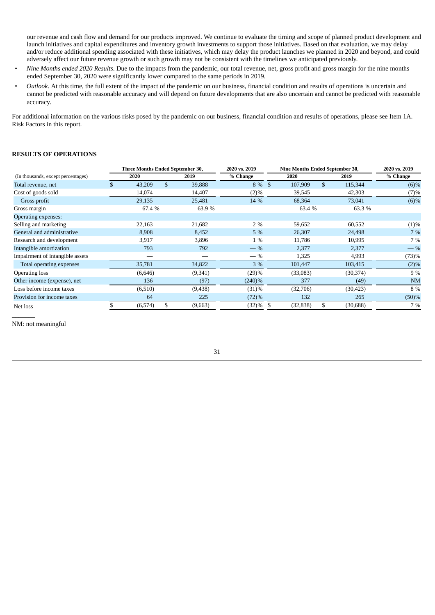our revenue and cash flow and demand for our products improved. We continue to evaluate the timing and scope of planned product development and launch initiatives and capital expenditures and inventory growth investments to support those initiatives. Based on that evaluation, we may delay and/or reduce additional spending associated with these initiatives, which may delay the product launches we planned in 2020 and beyond, and could adversely affect our future revenue growth or such growth may not be consistent with the timelines we anticipated previously.

- *Nine Months ended 2020 Results*. Due to the impacts from the pandemic, our total revenue, net, gross profit and gross margin for the nine months ended September 30, 2020 were significantly lower compared to the same periods in 2019.
- *Outlook.* At this time, the full extent of the impact of the pandemic on our business, financial condition and results of operations is uncertain and cannot be predicted with reasonable accuracy and will depend on future developments that are also uncertain and cannot be predicted with reasonable accuracy.

For additional information on the various risks posed by the pandemic on our business, financial condition and results of operations, please see Item 1A. Risk Factors in this report.

# **RESULTS OF OPERATIONS**

|                                    | <b>Three Months Ended September 30,</b> |               | 2020 vs. 2019 |    | <b>Nine Months Ended September 30,</b> |               |           | 2020 vs. 2019 |
|------------------------------------|-----------------------------------------|---------------|---------------|----|----------------------------------------|---------------|-----------|---------------|
| (In thousands, except percentages) | 2020                                    | 2019          | % Change      |    | 2020                                   |               | 2019      | % Change      |
| Total revenue, net                 | \$<br>43,209                            | \$<br>39,888  | $8\%$ \$      |    | 107,909                                | $\mathcal{S}$ | 115,344   | $(6)\%$       |
| Cost of goods sold                 | 14,074                                  | 14,407        | $(2)\%$       |    | 39,545                                 |               | 42,303    | (7)%          |
| Gross profit                       | 29,135                                  | 25,481        | 14 %          |    | 68,364                                 |               | 73,041    | $(6)\%$       |
| Gross margin                       | 67.4 %                                  | 63.9 %        |               |    | 63.4 %                                 |               | 63.3 %    |               |
| Operating expenses:                |                                         |               |               |    |                                        |               |           |               |
| Selling and marketing              | 22,163                                  | 21,682        | $2\%$         |    | 59,652                                 |               | 60,552    | (1)%          |
| General and administrative         | 8,908                                   | 8,452         | 5 %           |    | 26,307                                 |               | 24,498    | 7%            |
| Research and development           | 3,917                                   | 3,896         | 1 %           |    | 11,786                                 |               | 10,995    | $7\%$         |
| Intangible amortization            | 793                                     | 792           | $-$ %         |    | 2,377                                  |               | 2,377     | $-$ %         |
| Impairment of intangible assets    |                                         |               | $-$ %         |    | 1,325                                  |               | 4,993     | (73)%         |
| Total operating expenses           | 35,781                                  | 34,822        | 3%            |    | 101,447                                |               | 103,415   | (2)%          |
| <b>Operating loss</b>              | (6,646)                                 | (9,341)       | (29)%         |    | (33,083)                               |               | (30, 374) | 9 %           |
| Other income (expense), net        | 136                                     | (97)          | $(240)\%$     |    | 377                                    |               | (49)      | <b>NM</b>     |
| Loss before income taxes           | (6,510)                                 | (9,438)       | $(31)\%$      |    | (32,706)                               |               | (30, 423) | 8 %           |
| Provision for income taxes         | 64                                      | 225           | (72)%         |    | 132                                    |               | 265       | (50)%         |
| Net loss                           | (6,574)                                 | \$<br>(9,663) | (32)%         | -S | (32, 838)                              | \$            | (30, 688) | 7 %           |
|                                    |                                         |               |               |    |                                        |               |           |               |

NM: not meaningful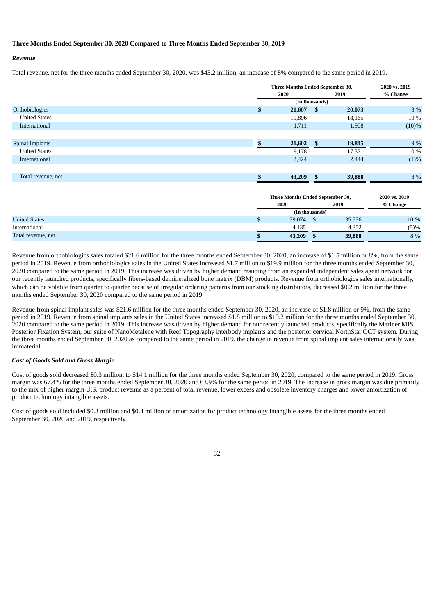# **Three Months Ended September 30, 2020 Compared to Three Months Ended September 30, 2019**

#### *Revenue*

Total revenue, net for the three months ended September 30, 2020, was \$43.2 million, an increase of 8% compared to the same period in 2019.

|                        | Three Months Ended September 30, |                |        | 2020 vs. 2019 |  |
|------------------------|----------------------------------|----------------|--------|---------------|--|
|                        | 2020                             |                | 2019   | % Change      |  |
|                        |                                  | (In thousands) |        |               |  |
| Orthobiologics         | \$<br>21,607                     | \$             | 20,073 | 8 %           |  |
| <b>United States</b>   | 19,896                           |                | 18,165 | 10 %          |  |
| International          | 1,711                            |                | 1,908  | $(10)\%$      |  |
|                        |                                  |                |        |               |  |
| <b>Spinal Implants</b> | \$<br>21,602                     | \$             | 19,815 | $9\ \%$       |  |
| <b>United States</b>   | 19,178                           |                | 17,371 | 10 %          |  |
| International          | 2,424                            |                | 2,444  | $(1)\%$       |  |
|                        |                                  |                |        |               |  |
| Total revenue, net     | 43,209                           | $\mathbf{s}$   | 39,888 | $8\ \%$       |  |
|                        |                                  |                |        |               |  |
|                        | Three Months Ended September 30, |                |        | 2020 vs. 2019 |  |
|                        | 2020<br>2019                     |                |        | % Change      |  |
|                        | (In thousands)                   |                |        |               |  |
| <b>United States</b>   | \$<br>39,074 \$                  |                | 35,536 | 10 %          |  |
| International          | 4,135                            |                | 4,352  | (5)%          |  |
| Total revenue, net     | \$<br>43,209                     | \$             | 39,888 | 8 %           |  |

Revenue from orthobiologics sales totaled \$21.6 million for the three months ended September 30, 2020, an increase of \$1.5 million or 8%, from the same period in 2019. Revenue from orthobiologics sales in the United States increased \$1.7 million to \$19.9 million for the three months ended September 30, 2020 compared to the same period in 2019. This increase was driven by higher demand resulting from an expanded independent sales agent network for our recently launched products, specifically fibers-based demineralized bone matrix (DBM) products. Revenue from orthobiologics sales internationally, which can be volatile from quarter to quarter because of irregular ordering patterns from our stocking distributors, decreased \$0.2 million for the three months ended September 30, 2020 compared to the same period in 2019.

Revenue from spinal implant sales was \$21.6 million for the three months ended September 30, 2020, an increase of \$1.8 million or 9%, from the same period in 2019. Revenue from spinal implants sales in the United States increased \$1.8 million to \$19.2 million for the three months ended September 30, 2020 compared to the same period in 2019. This increase was driven by higher demand for our recently launched products, specifically the Mariner MIS Posterior Fixation System, our suite of NanoMetalene with Reef Topography interbody implants and the posterior cervical NorthStar OCT system. During the three months ended September 30, 2020 as compared to the same period in 2019, the change in revenue from spinal implant sales internationally was immaterial.

#### *Cost of Goods Sold and Gross Margin*

Cost of goods sold decreased \$0.3 million, to \$14.1 million for the three months ended September 30, 2020, compared to the same period in 2019. Gross margin was 67.4% for the three months ended September 30, 2020 and 63.9% for the same period in 2019. The increase in gross margin was due primarily to the mix of higher margin U.S. product revenue as a percent of total revenue, lower excess and obsolete inventory charges and lower amortization of product technology intangible assets.

Cost of goods sold included \$0.3 million and \$0.4 million of amortization for product technology intangible assets for the three months ended September 30, 2020 and 2019, respectively.

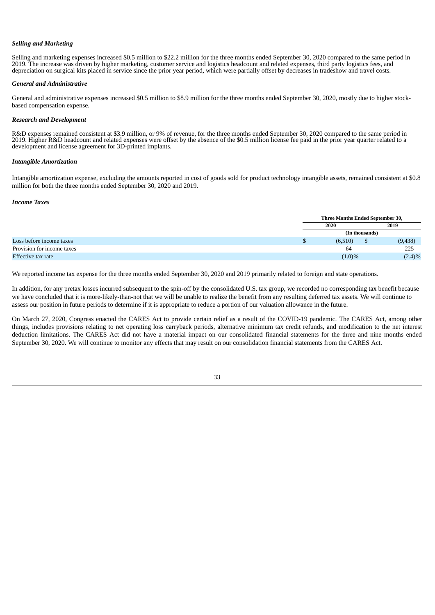### *Selling and Marketing*

Selling and marketing expenses increased \$0.5 million to \$22.2 million for the three months ended September 30, 2020 compared to the same period in 2019. The increase was driven by higher marketing, customer service and logistics headcount and related expenses, third party logistics fees, and depreciation on surgical kits placed in service since the prior year period, which were partially offset by decreases in tradeshow and travel costs.

#### *General and Administrative*

General and administrative expenses increased \$0.5 million to \$8.9 million for the three months ended September 30, 2020, mostly due to higher stockbased compensation expense.

#### *Research and Development*

R&D expenses remained consistent at \$3.9 million, or 9% of revenue, for the three months ended September 30, 2020 compared to the same period in 2019. Higher R&D headcount and related expenses were offset by the absence of the \$0.5 million license fee paid in the prior year quarter related to a development and license agreement for 3D-printed implants.

#### *Intangible Amortization*

Intangible amortization expense, excluding the amounts reported in cost of goods sold for product technology intangible assets, remained consistent at \$0.8 million for both the three months ended September 30, 2020 and 2019.

#### *Income Taxes*

|                            | Three Months Ended September 30, |   |           |  |  |
|----------------------------|----------------------------------|---|-----------|--|--|
|                            | 2020<br>2019                     |   |           |  |  |
|                            | (In thousands)                   |   |           |  |  |
| Loss before income taxes   | (6,510)                          | Φ | (9, 438)  |  |  |
| Provision for income taxes | 64                               |   | 225       |  |  |
| Effective tax rate         | $(1.0)\%$                        |   | $(2.4)\%$ |  |  |

We reported income tax expense for the three months ended September 30, 2020 and 2019 primarily related to foreign and state operations.

In addition, for any pretax losses incurred subsequent to the spin-off by the consolidated U.S. tax group, we recorded no corresponding tax benefit because we have concluded that it is more-likely-than-not that we will be unable to realize the benefit from any resulting deferred tax assets. We will continue to assess our position in future periods to determine if it is appropriate to reduce a portion of our valuation allowance in the future.

On March 27, 2020, Congress enacted the CARES Act to provide certain relief as a result of the COVID-19 pandemic. The CARES Act, among other things, includes provisions relating to net operating loss carryback periods, alternative minimum tax credit refunds, and modification to the net interest deduction limitations. The CARES Act did not have a material impact on our consolidated financial statements for the three and nine months ended September 30, 2020. We will continue to monitor any effects that may result on our consolidation financial statements from the CARES Act.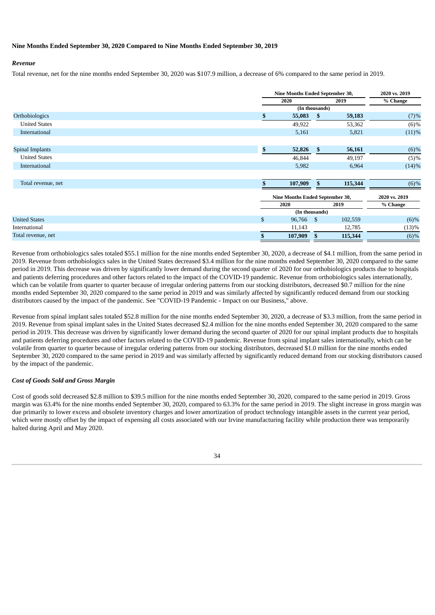# **Nine Months Ended September 30, 2020 Compared to Nine Months Ended September 30, 2019**

### *Revenue*

Total revenue, net for the nine months ended September 30, 2020 was \$107.9 million, a decrease of 6% compared to the same period in 2019.

|                        | Nine Months Ended September 30, |              |         | 2020 vs. 2019 |  |
|------------------------|---------------------------------|--------------|---------|---------------|--|
|                        | 2020<br>2019                    |              |         | % Change      |  |
|                        | (In thousands)                  |              |         |               |  |
| Orthobiologics         | \$<br>55,083                    | - \$         | 59,183  | (7)%          |  |
| <b>United States</b>   | 49,922                          |              | 53,362  | $(6)\%$       |  |
| International          | 5,161                           |              | 5,821   | (11)%         |  |
|                        |                                 |              |         |               |  |
| <b>Spinal Implants</b> | \$<br>52,826                    | \$           | 56,161  | $(6)$ %       |  |
| <b>United States</b>   | 46,844                          |              | 49,197  | (5)%          |  |
| International          | 5,982                           |              | 6,964   | (14)%         |  |
|                        |                                 |              |         |               |  |
| Total revenue, net     | 107,909                         | $\mathbf{s}$ | 115,344 | (6)%          |  |
|                        | Nine Months Ended September 30, |              |         | 2020 vs. 2019 |  |
|                        | 2020                            |              | 2019    | % Change      |  |
|                        | (In thousands)                  |              |         |               |  |
| <b>United States</b>   | \$<br>96,766                    | \$           | 102,559 | $(6)$ %       |  |
| International          | 11,143                          |              | 12,785  | (13)%         |  |
| Total revenue, net     | \$<br>107,909                   | \$           | 115,344 | $(6)$ %       |  |

Revenue from orthobiologics sales totaled \$55.1 million for the nine months ended September 30, 2020, a decrease of \$4.1 million, from the same period in 2019. Revenue from orthobiologics sales in the United States decreased \$3.4 million for the nine months ended September 30, 2020 compared to the same period in 2019. This decrease was driven by significantly lower demand during the second quarter of 2020 for our orthobiologics products due to hospitals and patients deferring procedures and other factors related to the impact of the COVID-19 pandemic. Revenue from orthobiologics sales internationally, which can be volatile from quarter to quarter because of irregular ordering patterns from our stocking distributors, decreased \$0.7 million for the nine months ended September 30, 2020 compared to the same period in 2019 and was similarly affected by significantly reduced demand from our stocking distributors caused by the impact of the pandemic. See "COVID-19 Pandemic - Impact on our Business," above.

Revenue from spinal implant sales totaled \$52.8 million for the nine months ended September 30, 2020, a decrease of \$3.3 million, from the same period in 2019. Revenue from spinal implant sales in the United States decreased \$2.4 million for the nine months ended September 30, 2020 compared to the same period in 2019. This decrease was driven by significantly lower demand during the second quarter of 2020 for our spinal implant products due to hospitals and patients deferring procedures and other factors related to the COVID-19 pandemic. Revenue from spinal implant sales internationally, which can be volatile from quarter to quarter because of irregular ordering patterns from our stocking distributors, decreased \$1.0 million for the nine months ended September 30, 2020 compared to the same period in 2019 and was similarly affected by significantly reduced demand from our stocking distributors caused by the impact of the pandemic.

# *Cost of Goods Sold and Gross Margin*

Cost of goods sold decreased \$2.8 million to \$39.5 million for the nine months ended September 30, 2020, compared to the same period in 2019. Gross margin was 63.4% for the nine months ended September 30, 2020, compared to 63.3% for the same period in 2019. The slight increase in gross margin was due primarily to lower excess and obsolete inventory charges and lower amortization of product technology intangible assets in the current year period, which were mostly offset by the impact of expensing all costs associated with our Irvine manufacturing facility while production there was temporarily halted during April and May 2020.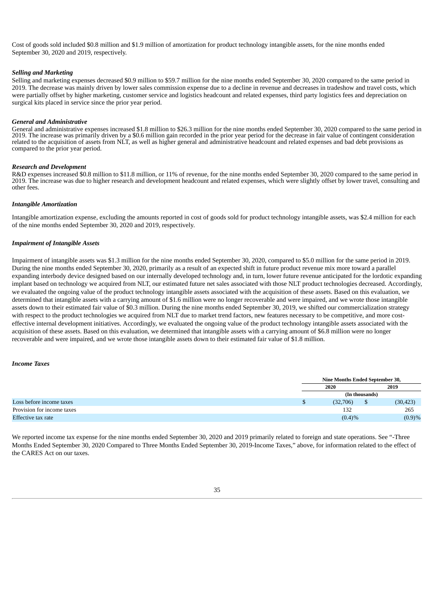Cost of goods sold included \$0.8 million and \$1.9 million of amortization for product technology intangible assets, for the nine months ended September 30, 2020 and 2019, respectively.

#### *Selling and Marketing*

Selling and marketing expenses decreased \$0.9 million to \$59.7 million for the nine months ended September 30, 2020 compared to the same period in 2019. The decrease was mainly driven by lower sales commission expense due to a decline in revenue and decreases in tradeshow and travel costs, which were partially offset by higher marketing, customer service and logistics headcount and related expenses, third party logistics fees and depreciation on surgical kits placed in service since the prior year period.

#### *General and Administrative*

General and administrative expenses increased \$1.8 million to \$26.3 million for the nine months ended September 30, 2020 compared to the same period in 2019. The increase was primarily driven by a \$0.6 million gain recorded in the prior year period for the decrease in fair value of contingent consideration related to the acquisition of assets from NLT, as well as higher general and administrative headcount and related expenses and bad debt provisions as compared to the prior year period.

#### *Research and Development*

R&D expenses increased \$0.8 million to \$11.8 million, or 11% of revenue, for the nine months ended September 30, 2020 compared to the same period in 2019. The increase was due to higher research and development headcount and related expenses, which were slightly offset by lower travel, consulting and other fees.

#### *Intangible Amortization*

Intangible amortization expense, excluding the amounts reported in cost of goods sold for product technology intangible assets, was \$2.4 million for each of the nine months ended September 30, 2020 and 2019, respectively.

#### *Impairment of Intangible Assets*

Impairment of intangible assets was \$1.3 million for the nine months ended September 30, 2020, compared to \$5.0 million for the same period in 2019. During the nine months ended September 30, 2020, primarily as a result of an expected shift in future product revenue mix more toward a parallel expanding interbody device designed based on our internally developed technology and, in turn, lower future revenue anticipated for the lordotic expanding implant based on technology we acquired from NLT, our estimated future net sales associated with those NLT product technologies decreased. Accordingly, we evaluated the ongoing value of the product technology intangible assets associated with the acquisition of these assets. Based on this evaluation, we determined that intangible assets with a carrying amount of \$1.6 million were no longer recoverable and were impaired, and we wrote those intangible assets down to their estimated fair value of \$0.3 million. During the nine months ended September 30, 2019, we shifted our commercialization strategy with respect to the product technologies we acquired from NLT due to market trend factors, new features necessary to be competitive, and more costeffective internal development initiatives. Accordingly, we evaluated the ongoing value of the product technology intangible assets associated with the acquisition of these assets. Based on this evaluation, we determined that intangible assets with a carrying amount of \$6.8 million were no longer recoverable and were impaired, and we wrote those intangible assets down to their estimated fair value of \$1.8 million.

#### *Income Taxes*

|                            | Nine Months Ended September 30, |   |           |  |
|----------------------------|---------------------------------|---|-----------|--|
|                            | 2019<br>2020                    |   |           |  |
|                            | (In thousands)                  |   |           |  |
| Loss before income taxes   | (32,706)                        | Φ | (30, 423) |  |
| Provision for income taxes | 132                             |   | 265       |  |
| Effective tax rate         | $(0.4)\%$                       |   | (0.9)%    |  |

We reported income tax expense for the nine months ended September 30, 2020 and 2019 primarily related to foreign and state operations. See "-Three Months Ended September 30, 2020 Compared to Three Months Ended September 30, 2019-Income Taxes," above, for information related to the effect of the CARES Act on our taxes.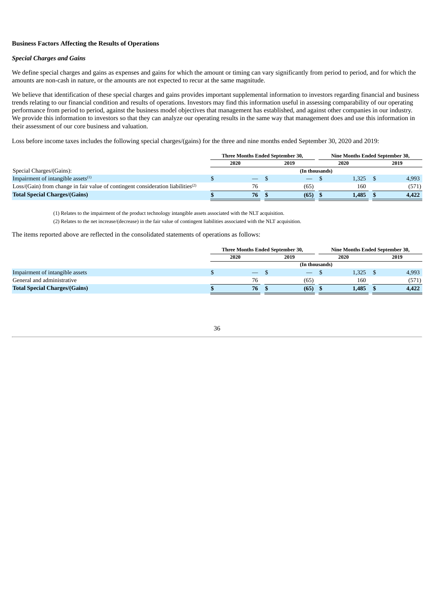# **Business Factors Affecting the Results of Operations**

#### *Special Charges and Gains*

We define special charges and gains as expenses and gains for which the amount or timing can vary significantly from period to period, and for which the amounts are non-cash in nature, or the amounts are not expected to recur at the same magnitude.

We believe that identification of these special charges and gains provides important supplemental information to investors regarding financial and business trends relating to our financial condition and results of operations. Investors may find this information useful in assessing comparability of our operating performance from period to period, against the business model objectives that management has established, and against other companies in our industry. We provide this information to investors so that they can analyze our operating results in the same way that management does and use this information in their assessment of our core business and valuation.

Loss before income taxes includes the following special charges/(gains) for the three and nine months ended September 30, 2020 and 2019:

|                                                                                              |      | Three Months Ended September 30, |      |      | <b>Nine Months Ended September 30,</b> |       |  |       |
|----------------------------------------------------------------------------------------------|------|----------------------------------|------|------|----------------------------------------|-------|--|-------|
|                                                                                              | 2020 |                                  | 2019 |      |                                        | 2020  |  | 2019  |
| Special Charges/(Gains):                                                                     |      |                                  |      |      | (In thousands)                         |       |  |       |
| Impairment of intangible assets $(1)$                                                        |      | –                                |      |      |                                        | 1.325 |  | 4,993 |
| Loss/(Gain) from change in fair value of contingent consideration liabilities <sup>(2)</sup> |      | 76                               |      | (65) |                                        | 160   |  | (571) |
| <b>Total Special Charges/(Gains)</b>                                                         |      | 76                               |      | (65) |                                        | 1.485 |  | 4.422 |

(1) Relates to the impairment of the product technology intangible assets associated with the NLT acquisition.

(2) Relates to the net increase/(decrease) in the fair value of contingent liabilities associated with the NLT acquisition.

The items reported above are reflected in the consolidated statements of operations as follows:

|                                      | Three Months Ended September 30, |                          | Nine Months Ended September 30, |                |       |  |       |
|--------------------------------------|----------------------------------|--------------------------|---------------------------------|----------------|-------|--|-------|
|                                      | 2020                             |                          | 2019                            |                | 2020  |  | 2019  |
|                                      |                                  |                          |                                 | (In thousands) |       |  |       |
| Impairment of intangible assets      |                                  | $\overline{\phantom{0}}$ |                                 |                | .325  |  | 4,993 |
| General and administrative           |                                  | 76                       | (65)                            |                | 160   |  | (571) |
| <b>Total Special Charges/(Gains)</b> |                                  | 76                       | (65)                            |                | 1,485 |  | 4,422 |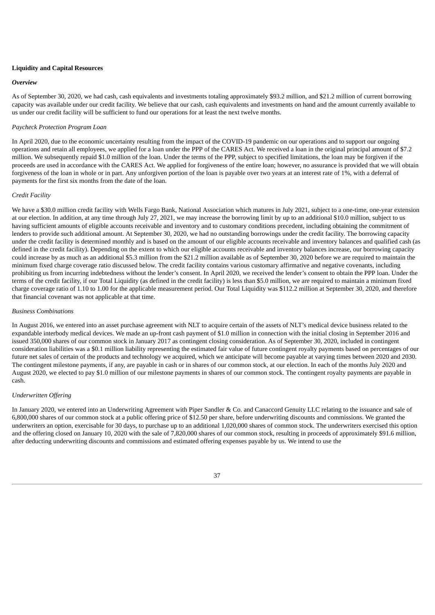## **Liquidity and Capital Resources**

#### *Overview*

As of September 30, 2020, we had cash, cash equivalents and investments totaling approximately \$93.2 million, and \$21.2 million of current borrowing capacity was available under our credit facility. We believe that our cash, cash equivalents and investments on hand and the amount currently available to us under our credit facility will be sufficient to fund our operations for at least the next twelve months.

#### *Paycheck Protection Program Loan*

In April 2020, due to the economic uncertainty resulting from the impact of the COVID-19 pandemic on our operations and to support our ongoing operations and retain all employees, we applied for a loan under the PPP of the CARES Act. We received a loan in the original principal amount of \$7.2 million. We subsequently repaid \$1.0 million of the loan. Under the terms of the PPP, subject to specified limitations, the loan may be forgiven if the proceeds are used in accordance with the CARES Act. We applied for forgiveness of the entire loan; however, no assurance is provided that we will obtain forgiveness of the loan in whole or in part. Any unforgiven portion of the loan is payable over two years at an interest rate of 1%, with a deferral of payments for the first six months from the date of the loan.

### *Credit Facility*

We have a \$30.0 million credit facility with Wells Fargo Bank, National Association which matures in July 2021, subject to a one-time, one-year extension at our election. In addition, at any time through July 27, 2021, we may increase the borrowing limit by up to an additional \$10.0 million, subject to us having sufficient amounts of eligible accounts receivable and inventory and to customary conditions precedent, including obtaining the commitment of lenders to provide such additional amount. At September 30, 2020, we had no outstanding borrowings under the credit facility. The borrowing capacity under the credit facility is determined monthly and is based on the amount of our eligible accounts receivable and inventory balances and qualified cash (as defined in the credit facility). Depending on the extent to which our eligible accounts receivable and inventory balances increase, our borrowing capacity could increase by as much as an additional \$5.3 million from the \$21.2 million available as of September 30, 2020 before we are required to maintain the minimum fixed charge coverage ratio discussed below. The credit facility contains various customary affirmative and negative covenants, including prohibiting us from incurring indebtedness without the lender's consent. In April 2020, we received the lender's consent to obtain the PPP loan. Under the terms of the credit facility, if our Total Liquidity (as defined in the credit facility) is less than \$5.0 million, we are required to maintain a minimum fixed charge coverage ratio of 1.10 to 1.00 for the applicable measurement period. Our Total Liquidity was \$112.2 million at September 30, 2020, and therefore that financial covenant was not applicable at that time.

#### *Business Combinations*

In August 2016, we entered into an asset purchase agreement with NLT to acquire certain of the assets of NLT's medical device business related to the expandable interbody medical devices. We made an up-front cash payment of \$1.0 million in connection with the initial closing in September 2016 and issued 350,000 shares of our common stock in January 2017 as contingent closing consideration. As of September 30, 2020, included in contingent consideration liabilities was a \$0.1 million liability representing the estimated fair value of future contingent royalty payments based on percentages of our future net sales of certain of the products and technology we acquired, which we anticipate will become payable at varying times between 2020 and 2030. The contingent milestone payments, if any, are payable in cash or in shares of our common stock, at our election. In each of the months July 2020 and August 2020, we elected to pay \$1.0 million of our milestone payments in shares of our common stock. The contingent royalty payments are payable in cash.

# *Underwritten Offering*

In January 2020, we entered into an Underwriting Agreement with Piper Sandler & Co. and Canaccord Genuity LLC relating to the issuance and sale of 6,800,000 shares of our common stock at a public offering price of \$12.50 per share, before underwriting discounts and commissions. We granted the underwriters an option, exercisable for 30 days, to purchase up to an additional 1,020,000 shares of common stock. The underwriters exercised this option and the offering closed on January 10, 2020 with the sale of 7,820,000 shares of our common stock, resulting in proceeds of approximately \$91.6 million, after deducting underwriting discounts and commissions and estimated offering expenses payable by us. We intend to use the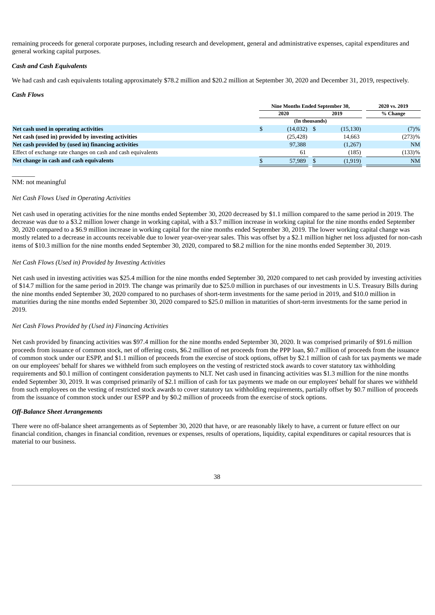remaining proceeds for general corporate purposes, including research and development, general and administrative expenses, capital expenditures and general working capital purposes.

## *Cash and Cash Equivalents*

We had cash and cash equivalents totaling approximately \$78.2 million and \$20.2 million at September 30, 2020 and December 31, 2019, respectively.

### *Cash Flows*

|                                                              | Nine Months Ended September 30, |               |                | 2020 vs. 2019 |           |
|--------------------------------------------------------------|---------------------------------|---------------|----------------|---------------|-----------|
|                                                              |                                 | 2020<br>2019  |                |               | % Change  |
|                                                              |                                 |               | (In thousands) |               |           |
| Net cash used in operating activities                        |                                 | $(14,032)$ \$ |                | (15, 130)     | (7)%      |
| Net cash (used in) provided by investing activities          |                                 | (25, 428)     |                | 14,663        | (273)%    |
| Net cash provided by (used in) financing activities          |                                 | 97,388        |                | (1,267)       | <b>NM</b> |
| Effect of exchange rate changes on cash and cash equivalents |                                 | 61            |                | (185)         | (133)%    |
| Net change in cash and cash equivalents                      |                                 | 57,989        |                | (1, 919)      | <b>NM</b> |

### NM: not meaningful

 $\overline{\phantom{a}}$ 

### *Net Cash Flows Used in Operating Activities*

Net cash used in operating activities for the nine months ended September 30, 2020 decreased by \$1.1 million compared to the same period in 2019. The decrease was due to a \$3.2 million lower change in working capital, with a \$3.7 million increase in working capital for the nine months ended September 30, 2020 compared to a \$6.9 million increase in working capital for the nine months ended September 30, 2019. The lower working capital change was mostly related to a decrease in accounts receivable due to lower year-over-year sales. This was offset by a \$2.1 million higher net loss adjusted for non-cash items of \$10.3 million for the nine months ended September 30, 2020, compared to \$8.2 million for the nine months ended September 30, 2019.

### *Net Cash Flows (Used in) Provided by Investing Activities*

Net cash used in investing activities was \$25.4 million for the nine months ended September 30, 2020 compared to net cash provided by investing activities of \$14.7 million for the same period in 2019. The change was primarily due to \$25.0 million in purchases of our investments in U.S. Treasury Bills during the nine months ended September 30, 2020 compared to no purchases of short-term investments for the same period in 2019, and \$10.0 million in maturities during the nine months ended September 30, 2020 compared to \$25.0 million in maturities of short-term investments for the same period in 2019.

### *Net Cash Flows Provided by (Used in) Financing Activities*

Net cash provided by financing activities was \$97.4 million for the nine months ended September 30, 2020. It was comprised primarily of \$91.6 million proceeds from issuance of common stock, net of offering costs, \$6.2 million of net proceeds from the PPP loan, \$0.7 million of proceeds from the issuance of common stock under our ESPP, and \$1.1 million of proceeds from the exercise of stock options, offset by \$2.1 million of cash for tax payments we made on our employees' behalf for shares we withheld from such employees on the vesting of restricted stock awards to cover statutory tax withholding requirements and \$0.1 million of contingent consideration payments to NLT. Net cash used in financing activities was \$1.3 million for the nine months ended September 30, 2019. It was comprised primarily of \$2.1 million of cash for tax payments we made on our employees' behalf for shares we withheld from such employees on the vesting of restricted stock awards to cover statutory tax withholding requirements, partially offset by \$0.7 million of proceeds from the issuance of common stock under our ESPP and by \$0.2 million of proceeds from the exercise of stock options.

### *Off-Balance Sheet Arrangements*

There were no off-balance sheet arrangements as of September 30, 2020 that have, or are reasonably likely to have, a current or future effect on our financial condition, changes in financial condition, revenues or expenses, results of operations, liquidity, capital expenditures or capital resources that is material to our business.

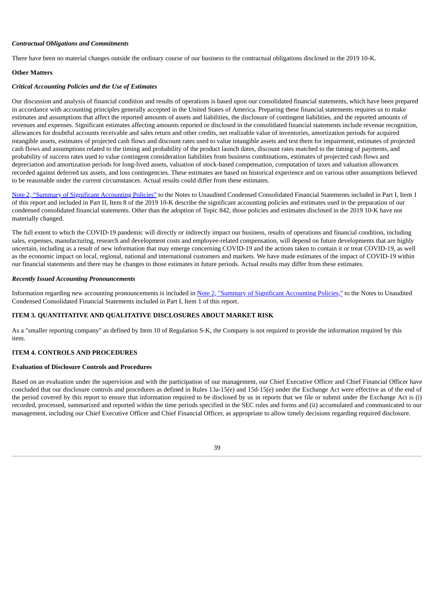# *Contractual Obligations and Commitments*

There have been no material changes outside the ordinary course of our business to the contractual obligations disclosed in the 2019 10-K.

# **Other Matters**

# *Critical Accounting Policies and the Use of Estimates*

Our discussion and analysis of financial condition and results of operations is based upon our consolidated financial statements, which have been prepared in accordance with accounting principles generally accepted in the United States of America. Preparing these financial statements requires us to make estimates and assumptions that affect the reported amounts of assets and liabilities, the disclosure of contingent liabilities, and the reported amounts of revenues and expenses. Significant estimates affecting amounts reported or disclosed in the consolidated financial statements include revenue recognition, allowances for doubtful accounts receivable and sales return and other credits, net realizable value of inventories, amortization periods for acquired intangible assets, estimates of projected cash flows and discount rates used to value intangible assets and test them for impairment, estimates of projected cash flows and assumptions related to the timing and probability of the product launch dates, discount rates matched to the timing of payments, and probability of success rates used to value contingent consideration liabilities from business combinations, estimates of projected cash flows and depreciation and amortization periods for long-lived assets, valuation of stock-based compensation, computation of taxes and valuation allowances recorded against deferred tax assets, and loss contingencies. These estimates are based on historical experience and on various other assumptions believed to be reasonable under the current circumstances. Actual results could differ from these estimates.

Note 2, "Summary of Significant [Accounting](#page-11-0) Policies" to the Notes to Unaudited Condensed Consolidated Financial Statements included in Part I, Item 1 of this report and included in Part II, Item 8 of the 2019 10-K describe the significant accounting policies and estimates used in the preparation of our condensed consolidated financial statements. Other than the adoption of Topic 842, those policies and estimates disclosed in the 2019 10-K have not materially changed.

The full extent to which the COVID-19 pandemic will directly or indirectly impact our business, results of operations and financial condition, including sales, expenses, manufacturing, research and development costs and employee-related compensation, will depend on future developments that are highly uncertain, including as a result of new information that may emerge concerning COVID-19 and the actions taken to contain it or treat COVID-19, as well as the economic impact on local, regional, national and international customers and markets. We have made estimates of the impact of COVID-19 within our financial statements and there may be changes to those estimates in future periods. Actual results may differ from these estimates.

# *Recently Issued Accounting Pronouncements*

Information regarding new accounting pronouncements is included in Note 2, "Summary of Significant [Accounting](#page-11-0) Policies," to the Notes to Unaudited Condensed Consolidated Financial Statements included in Part I, Item 1 of this report.

# <span id="page-38-0"></span>**ITEM 3. QUANTITATIVE AND QUALITATIVE DISCLOSURES ABOUT MARKET RISK**

As a "smaller reporting company" as defined by Item 10 of Regulation S-K, the Company is not required to provide the information required by this item.

# <span id="page-38-1"></span>**ITEM 4. CONTROLS AND PROCEDURES**

# **Evaluation of Disclosure Controls and Procedures**

Based on an evaluation under the supervision and with the participation of our management, our Chief Executive Officer and Chief Financial Officer have concluded that our disclosure controls and procedures as defined in Rules 13a-15(e) and 15d-15(e) under the Exchange Act were effective as of the end of the period covered by this report to ensure that information required to be disclosed by us in reports that we file or submit under the Exchange Act is (i) recorded, processed, summarized and reported within the time periods specified in the SEC rules and forms and (ii) accumulated and communicated to our management, including our Chief Executive Officer and Chief Financial Officer, as appropriate to allow timely decisions regarding required disclosure.

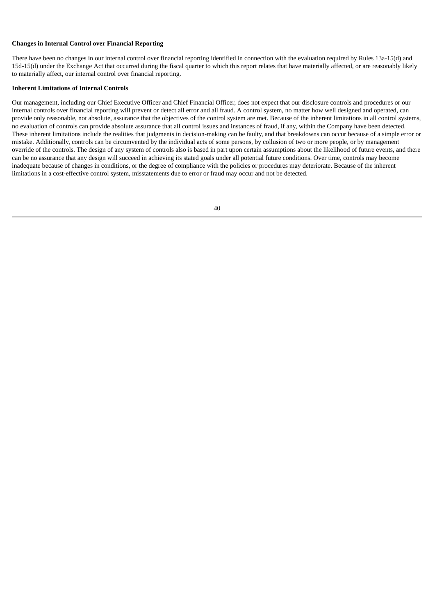# **Changes in Internal Control over Financial Reporting**

There have been no changes in our internal control over financial reporting identified in connection with the evaluation required by Rules 13a-15(d) and 15d-15(d) under the Exchange Act that occurred during the fiscal quarter to which this report relates that have materially affected, or are reasonably likely to materially affect, our internal control over financial reporting.

# **Inherent Limitations of Internal Controls**

<span id="page-39-0"></span>Our management, including our Chief Executive Officer and Chief Financial Officer, does not expect that our disclosure controls and procedures or our internal controls over financial reporting will prevent or detect all error and all fraud. A control system, no matter how well designed and operated, can provide only reasonable, not absolute, assurance that the objectives of the control system are met. Because of the inherent limitations in all control systems, no evaluation of controls can provide absolute assurance that all control issues and instances of fraud, if any, within the Company have been detected. These inherent limitations include the realities that judgments in decision-making can be faulty, and that breakdowns can occur because of a simple error or mistake. Additionally, controls can be circumvented by the individual acts of some persons, by collusion of two or more people, or by management override of the controls. The design of any system of controls also is based in part upon certain assumptions about the likelihood of future events, and there can be no assurance that any design will succeed in achieving its stated goals under all potential future conditions. Over time, controls may become inadequate because of changes in conditions, or the degree of compliance with the policies or procedures may deteriorate. Because of the inherent limitations in a cost-effective control system, misstatements due to error or fraud may occur and not be detected.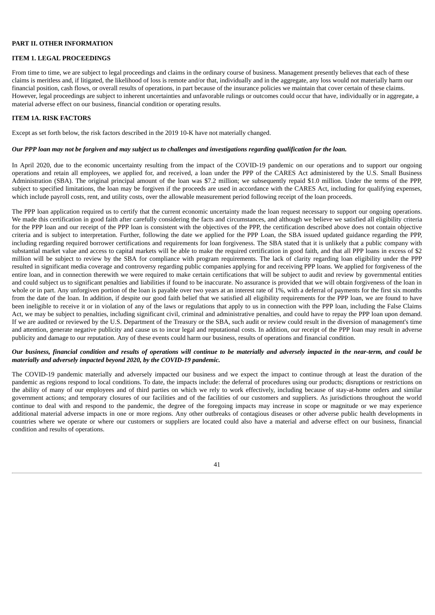# **PART II. OTHER INFORMATION**

### <span id="page-40-0"></span>**ITEM 1. LEGAL PROCEEDINGS**

From time to time, we are subject to legal proceedings and claims in the ordinary course of business. Management presently believes that each of these claims is meritless and, if litigated, the likelihood of loss is remote and/or that, individually and in the aggregate, any loss would not materially harm our financial position, cash flows, or overall results of operations, in part because of the insurance policies we maintain that cover certain of these claims. However, legal proceedings are subject to inherent uncertainties and unfavorable rulings or outcomes could occur that have, individually or in aggregate, a material adverse effect on our business, financial condition or operating results.

#### <span id="page-40-1"></span>**ITEM 1A. RISK FACTORS**

Except as set forth below, the risk factors described in the 2019 10-K have not materially changed.

#### Our PPP loan may not be forgiven and may subject us to challenges and investigations regarding qualification for the loan.

In April 2020, due to the economic uncertainty resulting from the impact of the COVID-19 pandemic on our operations and to support our ongoing operations and retain all employees, we applied for, and received, a loan under the PPP of the CARES Act administered by the U.S. Small Business Administration (SBA). The original principal amount of the loan was \$7.2 million; we subsequently repaid \$1.0 million. Under the terms of the PPP, subject to specified limitations, the loan may be forgiven if the proceeds are used in accordance with the CARES Act, including for qualifying expenses, which include payroll costs, rent, and utility costs, over the allowable measurement period following receipt of the loan proceeds.

The PPP loan application required us to certify that the current economic uncertainty made the loan request necessary to support our ongoing operations. We made this certification in good faith after carefully considering the facts and circumstances, and although we believe we satisfied all eligibility criteria for the PPP loan and our receipt of the PPP loan is consistent with the objectives of the PPP, the certification described above does not contain objective criteria and is subject to interpretation. Further, following the date we applied for the PPP Loan, the SBA issued updated guidance regarding the PPP, including regarding required borrower certifications and requirements for loan forgiveness. The SBA stated that it is unlikely that a public company with substantial market value and access to capital markets will be able to make the required certification in good faith, and that all PPP loans in excess of \$2 million will be subject to review by the SBA for compliance with program requirements. The lack of clarity regarding loan eligibility under the PPP resulted in significant media coverage and controversy regarding public companies applying for and receiving PPP loans. We applied for forgiveness of the entire loan, and in connection therewith we were required to make certain certifications that will be subject to audit and review by governmental entities and could subject us to significant penalties and liabilities if found to be inaccurate. No assurance is provided that we will obtain forgiveness of the loan in whole or in part. Any unforgiven portion of the loan is payable over two years at an interest rate of 1%, with a deferral of payments for the first six months from the date of the loan. In addition, if despite our good faith belief that we satisfied all eligibility requirements for the PPP loan, we are found to have been ineligible to receive it or in violation of any of the laws or regulations that apply to us in connection with the PPP loan, including the False Claims Act, we may be subject to penalties, including significant civil, criminal and administrative penalties, and could have to repay the PPP loan upon demand. If we are audited or reviewed by the U.S. Department of the Treasury or the SBA, such audit or review could result in the diversion of management's time and attention, generate negative publicity and cause us to incur legal and reputational costs. In addition, our receipt of the PPP loan may result in adverse publicity and damage to our reputation. Any of these events could harm our business, results of operations and financial condition.

# Our business, financial condition and results of operations will continue to be materially and adversely impacted in the near-term, and could be *materially and adversely impacted beyond 2020, by the COVID-19 pandemic.*

The COVID-19 pandemic materially and adversely impacted our business and we expect the impact to continue through at least the duration of the pandemic as regions respond to local conditions. To date, the impacts include: the deferral of procedures using our products; disruptions or restrictions on the ability of many of our employees and of third parties on which we rely to work effectively, including because of stay-at-home orders and similar government actions; and temporary closures of our facilities and of the facilities of our customers and suppliers. As jurisdictions throughout the world continue to deal with and respond to the pandemic, the degree of the foregoing impacts may increase in scope or magnitude or we may experience additional material adverse impacts in one or more regions. Any other outbreaks of contagious diseases or other adverse public health developments in countries where we operate or where our customers or suppliers are located could also have a material and adverse effect on our business, financial condition and results of operations.

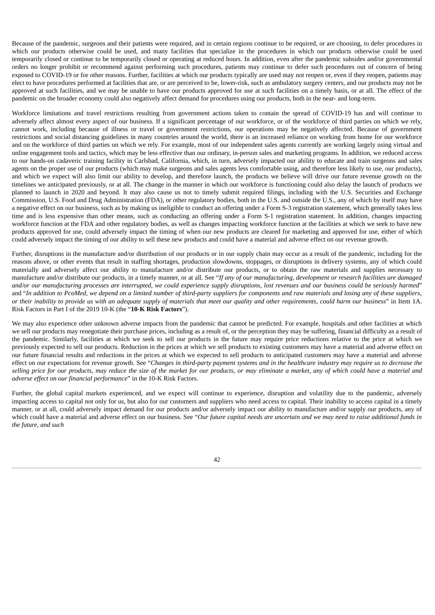Because of the pandemic, surgeons and their patients were required, and in certain regions continue to be required, or are choosing, to defer procedures in which our products otherwise could be used, and many facilities that specialize in the procedures in which our products otherwise could be used temporarily closed or continue to be temporarily closed or operating at reduced hours. In addition, even after the pandemic subsides and/or governmental orders no longer prohibit or recommend against performing such procedures, patients may continue to defer such procedures out of concern of being exposed to COVID-19 or for other reasons. Further, facilities at which our products typically are used may not reopen or, even if they reopen, patients may elect to have procedures performed at facilities that are, or are perceived to be, lower-risk, such as ambulatory surgery centers, and our products may not be approved at such facilities, and we may be unable to have our products approved for use at such facilities on a timely basis, or at all. The effect of the pandemic on the broader economy could also negatively affect demand for procedures using our products, both in the near- and long-term.

Workforce limitations and travel restrictions resulting from government actions taken to contain the spread of COVID-19 has and will continue to adversely affect almost every aspect of our business. If a significant percentage of our workforce, or of the workforce of third parties on which we rely, cannot work, including because of illness or travel or government restrictions, our operations may be negatively affected. Because of government restrictions and social distancing guidelines in many countries around the world, there is an increased reliance on working from home for our workforce and on the workforce of third parties on which we rely. For example, most of our independent sales agents currently are working largely using virtual and online engagement tools and tactics, which may be less effective than our ordinary, in-person sales and marketing programs. In addition, we reduced access to our hands-on cadaveric training facility in Carlsbad, California, which, in turn, adversely impacted our ability to educate and train surgeons and sales agents on the proper use of our products (which may make surgeons and sales agents less comfortable using, and therefore less likely to use, our products), and which we expect will also limit our ability to develop, and therefore launch, the products we believe will drive our future revenue growth on the timelines we anticipated previously, or at all. The change in the manner in which our workforce is functioning could also delay the launch of products we planned to launch in 2020 and beyond. It may also cause us not to timely submit required filings, including with the U.S. Securities and Exchange Commission, U.S. Food and Drug Administration (FDA), or other regulatory bodies, both in the U.S. and outside the U.S., any of which by itself may have a negative effect on our business, such as by making us ineligible to conduct an offering under a Form S-3 registration statement, which generally takes less time and is less expensive than other means, such as conducting an offering under a Form S-1 registration statement. In addition, changes impacting workforce function at the FDA and other regulatory bodies, as well as changes impacting workforce function at the facilities at which we seek to have new products approved for use, could adversely impact the timing of when our new products are cleared for marketing and approved for use, either of which could adversely impact the timing of our ability to sell these new products and could have a material and adverse effect on our revenue growth.

Further, disruptions in the manufacture and/or distribution of our products or in our supply chain may occur as a result of the pandemic, including for the reasons above, or other events that result in staffing shortages, production slowdowns, stoppages, or disruptions in delivery systems, any of which could materially and adversely affect our ability to manufacture and/or distribute our products, or to obtain the raw materials and supplies necessary to manufacture and/or distribute our products, in a timely manner, or at all. See "If any of our manufacturing, development or research facilities are damaged and/or our manufacturing processes are interrupted, we could experience supply disruptions, lost revenues and our business could be seriously harmed" and "In addition to PcoMed, we depend on a limited number of third-party suppliers for components and raw materials and losing any of these suppliers, or their inability to provide us with an adequate supply of materials that meet our quality and other requirements, could harm our business" in Item 1A. Risk Factors in Part I of the 2019 10-K (the "**10-K Risk Factors**").

We may also experience other unknown adverse impacts from the pandemic that cannot be predicted. For example, hospitals and other facilities at which we sell our products may renegotiate their purchase prices, including as a result of, or the perception they may be suffering, financial difficulty as a result of the pandemic. Similarly, facilities at which we seek to sell our products in the future may require price reductions relative to the price at which we previously expected to sell our products. Reduction in the prices at which we sell products to existing customers may have a material and adverse effect on our future financial results and reductions in the prices at which we expected to sell products to anticipated customers may have a material and adverse effect on our expectations for revenue growth. See "Changes in third-party payment systems and in the healthcare industry may require us to decrease the selling price for our products, may reduce the size of the market for our products, or may eliminate a market, any of which could have a material and *adverse effect on our financial performance*" in the 10-K Risk Factors.

Further, the global capital markets experienced, and we expect will continue to experience, disruption and volatility due to the pandemic, adversely impacting access to capital not only for us, but also for our customers and suppliers who need access to capital. Their inability to access capital in a timely manner, or at all, could adversely impact demand for our products and/or adversely impact our ability to manufacture and/or supply our products, any of which could have a material and adverse effect on our business. See "Our future capital needs are uncertain and we may need to raise additional funds in *the future, and such*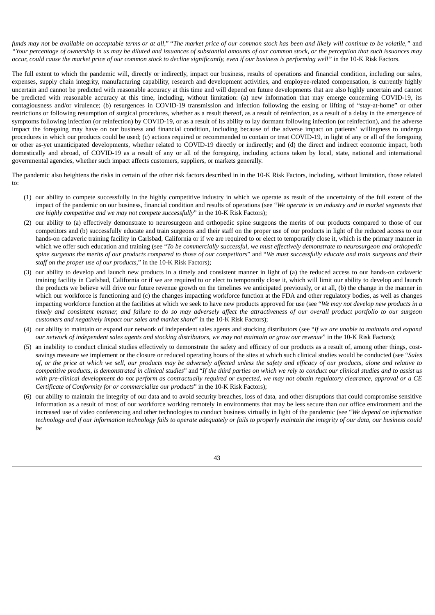funds may not be available on acceptable terms or at all," "The market price of our common stock has been and likely will continue to be volatile," and "Your percentage of ownership in us may be diluted and issuances of substantial amounts of our common stock, or the perception that such issuances may occur, could cause the market price of our common stock to decline significantly, even if our business is performing well" in the 10-K Risk Factors.

The full extent to which the pandemic will, directly or indirectly, impact our business, results of operations and financial condition, including our sales, expenses, supply chain integrity, manufacturing capability, research and development activities, and employee-related compensation, is currently highly uncertain and cannot be predicted with reasonable accuracy at this time and will depend on future developments that are also highly uncertain and cannot be predicted with reasonable accuracy at this time, including, without limitation: (a) new information that may emerge concerning COVID-19, its contagiousness and/or virulence; (b) resurgences in COVID-19 transmission and infection following the easing or lifting of "stay-at-home" or other restrictions or following resumption of surgical procedures, whether as a result thereof, as a result of reinfection, as a result of a delay in the emergence of symptoms following infection (or reinfection) by COVID-19, or as a result of its ability to lay dormant following infection (or reinfection), and the adverse impact the foregoing may have on our business and financial condition, including because of the adverse impact on patients' willingness to undergo procedures in which our products could be used; (c) actions required or recommended to contain or treat COVID-19, in light of any or all of the foregoing or other as-yet unanticipated developments, whether related to COVID-19 directly or indirectly; and (d) the direct and indirect economic impact, both domestically and abroad, of COVID-19 as a result of any or all of the foregoing, including actions taken by local, state, national and international governmental agencies, whether such impact affects customers, suppliers, or markets generally.

The pandemic also heightens the risks in certain of the other risk factors described in in the 10-K Risk Factors, including, without limitation, those related to:

- (1) our ability to compete successfully in the highly competitive industry in which we operate as result of the uncertainty of the full extent of the impact of the pandemic on our business, financial condition and results of operations (see "*We operate in an industry and in market segments that are highly competitive and we may not compete successfully*" in the 10-K Risk Factors);
- (2) our ability to (a) effectively demonstrate to neurosurgeon and orthopedic spine surgeons the merits of our products compared to those of our competitors and (b) successfully educate and train surgeons and their staff on the proper use of our products in light of the reduced access to our hands-on cadaveric training facility in Carlsbad, California or if we are required to or elect to temporarily close it, which is the primary manner in which we offer such education and training (see "To be commercially successful, we must effectively demonstrate to neurosurgeon and orthopedic spine surgeons the merits of our products compared to those of our competitors" and "We must successfully educate and train surgeons and their *staff on the proper use of our products*," in the 10-K Risk Factors);
- (3) our ability to develop and launch new products in a timely and consistent manner in light of (a) the reduced access to our hands-on cadaveric training facility in Carlsbad, California or if we are required to or elect to temporarily close it, which will limit our ability to develop and launch the products we believe will drive our future revenue growth on the timelines we anticipated previously, or at all, (b) the change in the manner in which our workforce is functioning and (c) the changes impacting workforce function at the FDA and other regulatory bodies, as well as changes impacting workforce function at the facilities at which we seek to have new products approved for use (see "*We may not develop new products in a* timely and consistent manner, and failure to do so may adversely affect the attractiveness of our overall product portfolio to our surgeon *customers and negatively impact our sales and market share*" in the 10-K Risk Factors);
- (4) our ability to maintain or expand our network of independent sales agents and stocking distributors (see "*If we are unable to maintain and expand* our network of independent sales agents and stocking distributors, we may not maintain or grow our revenue" in the 10-K Risk Factors);
- (5) an inability to conduct clinical studies effectively to demonstrate the safety and efficacy of our products as a result of, among other things, costsavings measure we implement or the closure or reduced operating hours of the sites at which such clinical studies would be conducted (see "*Sales* of, or the price at which we sell, our products may be adversely affected unless the safety and efficacy of our products, alone and relative to competitive products, is demonstrated in clinical studies" and "If the third parties on which we rely to conduct our clinical studies and to assist us with pre-clinical development do not perform as contractually required or expected, we may not obtain regulatory clearance, approval or a CE *Certificate of Conformity for or commercialize our products*" in the 10-K Risk Factors);
- (6) our ability to maintain the integrity of our data and to avoid security breaches, loss of data, and other disruptions that could compromise sensitive information as a result of most of our workforce working remotely in environments that may be less secure than our office environment and the increased use of video conferencing and other technologies to conduct business virtually in light of the pandemic (see "*We depend on information* technology and if our information technology fails to operate adequately or fails to properly maintain the integrity of our data, our business could *be*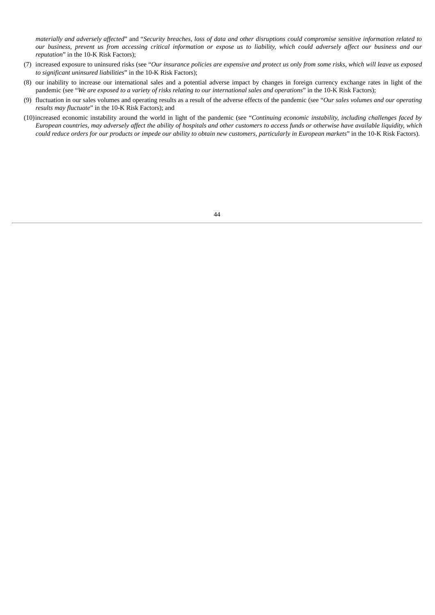materially and adversely affected" and "Security breaches, loss of data and other disruptions could compromise sensitive information related to our business, prevent us from accessing critical information or expose us to liability, which could adversely affect our business and our *reputation*" in the 10-K Risk Factors);

- (7) increased exposure to uninsured risks (see "Our insurance policies are expensive and protect us only from some risks, which will leave us exposed *to significant uninsured liabilities*" in the 10-K Risk Factors);
- (8) our inability to increase our international sales and a potential adverse impact by changes in foreign currency exchange rates in light of the pandemic (see "We are exposed to a variety of risks relating to our international sales and operations" in the 10-K Risk Factors);
- (9) fluctuation in our sales volumes and operating results as a result of the adverse effects of the pandemic (see "*Our sales volumes and our operating results may fluctuate*" in the 10-K Risk Factors); and
- <span id="page-43-0"></span>(10)increased economic instability around the world in light of the pandemic (see "*Continuing economic instability, including challenges faced by* European countries, may adversely affect the ability of hospitals and other customers to access funds or otherwise have available liquidity, which could reduce orders for our products or impede our ability to obtain new customers, particularly in European markets" in the 10-K Risk Factors).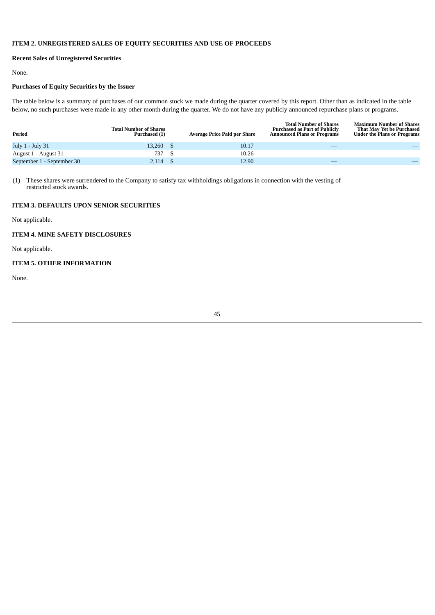# **ITEM 2. UNREGISTERED SALES OF EQUITY SECURITIES AND USE OF PROCEEDS**

# **Recent Sales of Unregistered Securities**

None.

# **Purchases of Equity Securities by the Issuer**

The table below is a summary of purchases of our common stock we made during the quarter covered by this report. Other than as indicated in the table below, no such purchases were made in any other month during the quarter. We do not have any publicly announced repurchase plans or programs.

| Period                     | <b>Total Number of Shares</b><br>Purchased (1) | Average Price Paid per Share | <b>Total Number of Shares</b><br><b>Purchased as Part of Publicly</b><br><b>Announced Plans or Programs</b> | <b>Maximum Number of Shares</b><br>That Mav Yet be Purchased<br>Under the Plans or Programs |
|----------------------------|------------------------------------------------|------------------------------|-------------------------------------------------------------------------------------------------------------|---------------------------------------------------------------------------------------------|
| July 1 - July 31           | 13.260                                         | 10.17                        |                                                                                                             |                                                                                             |
| August 1 - August 31       | 737                                            | 10.26                        |                                                                                                             |                                                                                             |
| September 1 - September 30 | 2.114                                          | 12.90                        |                                                                                                             |                                                                                             |

(1) These shares were surrendered to the Company to satisfy tax withholdings obligations in connection with the vesting of restricted stock awards.

# <span id="page-44-0"></span>**ITEM 3. DEFAULTS UPON SENIOR SECURITIES**

Not applicable.

# <span id="page-44-1"></span>**ITEM 4. MINE SAFETY DISCLOSURES**

Not applicable.

# <span id="page-44-2"></span>**ITEM 5. OTHER INFORMATION**

<span id="page-44-3"></span>None.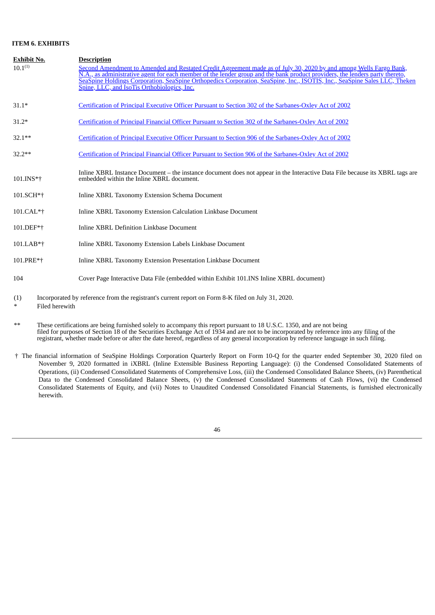# **ITEM 6. EXHIBITS**

| <b>Exhibit No.</b><br>$10.1^{(1)}$ | <b>Description</b><br>Second Amendment to Amended and Restated Credit Agreement made as of July 30, 2020 by and among Wells Fargo Bank,<br>N.A., as administrative agent for each member of the lender group and the bank product providers, the lenders party thereto,<br>SeaSpine Holdings Corporation, SeaSpine Orthopedics Corporation, SeaSpine, Inc., ISOTIS, Inc., SeaSpine Sales LLC, Theken<br>Spine, LLC, and IsoTis Orthobiologics, Inc. |
|------------------------------------|-----------------------------------------------------------------------------------------------------------------------------------------------------------------------------------------------------------------------------------------------------------------------------------------------------------------------------------------------------------------------------------------------------------------------------------------------------|
| $31.1*$                            | Certification of Principal Executive Officer Pursuant to Section 302 of the Sarbanes-Oxley Act of 2002                                                                                                                                                                                                                                                                                                                                              |
| $31.2*$                            | Certification of Principal Financial Officer Pursuant to Section 302 of the Sarbanes-Oxley Act of 2002                                                                                                                                                                                                                                                                                                                                              |
| $32.1***$                          | Certification of Principal Executive Officer Pursuant to Section 906 of the Sarbanes-Oxley Act of 2002                                                                                                                                                                                                                                                                                                                                              |
| $32.2**$                           | Certification of Principal Financial Officer Pursuant to Section 906 of the Sarbanes-Oxley Act of 2002                                                                                                                                                                                                                                                                                                                                              |
| 101.INS*+                          | Inline XBRL Instance Document – the instance document does not appear in the Interactive Data File because its XBRL tags are<br>embedded within the Inline XBRL document.                                                                                                                                                                                                                                                                           |
| 101.SCH*†                          | Inline XBRL Taxonomy Extension Schema Document                                                                                                                                                                                                                                                                                                                                                                                                      |
| 101.CAL*†                          | Inline XBRL Taxonomy Extension Calculation Linkbase Document                                                                                                                                                                                                                                                                                                                                                                                        |
| 101.DEF*†                          | Inline XBRL Definition Linkbase Document                                                                                                                                                                                                                                                                                                                                                                                                            |
| $101.LAB*+$                        | Inline XBRL Taxonomy Extension Labels Linkbase Document                                                                                                                                                                                                                                                                                                                                                                                             |
| 101.PRE*†                          | Inline XBRL Taxonomy Extension Presentation Linkbase Document                                                                                                                                                                                                                                                                                                                                                                                       |
| 104                                | Cover Page Interactive Data File (embedded within Exhibit 101. INS Inline XBRL document)                                                                                                                                                                                                                                                                                                                                                            |
| (1)<br>$\ast$<br>Filed herewith    | Incorporated by reference from the registrant's current report on Form 8-K filed on July 31, 2020.                                                                                                                                                                                                                                                                                                                                                  |

\*\* These certifications are being furnished solely to accompany this report pursuant to 18 U.S.C. 1350, and are not being filed for purposes of Section 18 of the Securities Exchange Act of 1934 and are not to be incorporated by reference into any filing of the registrant, whether made before or after the date hereof, regardless of any general incorporation by reference language in such filing.

<span id="page-45-0"></span>† The financial information of SeaSpine Holdings Corporation Quarterly Report on Form 10-Q for the quarter ended September 30, 2020 filed on November 9, 2020 formatted in iXBRL (Inline Extensible Business Reporting Language): (i) the Condensed Consolidated Statements of Operations, (ii) Condensed Consolidated Statements of Comprehensive Loss, (iii) the Condensed Consolidated Balance Sheets, (iv) Parenthetical Data to the Condensed Consolidated Balance Sheets, (v) the Condensed Consolidated Statements of Cash Flows, (vi) the Condensed Consolidated Statements of Equity, and (vii) Notes to Unaudited Condensed Consolidated Financial Statements, is furnished electronically herewith.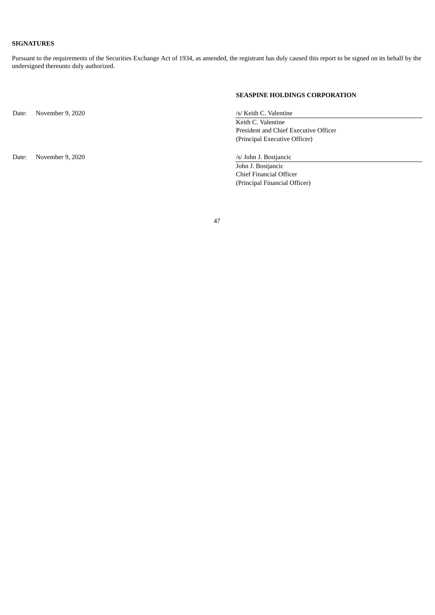# **SIGNATURES**

Pursuant to the requirements of the Securities Exchange Act of 1934, as amended, the registrant has duly caused this report to be signed on its behalf by the undersigned thereunto duly authorized.

# **SEASPINE HOLDINGS CORPORATION**

Date: November 9, 2020 /s/ Keith C. Valentine

Date: November 9, 2020 /s/ John J. Bostjancic

Keith C. Valentine President and Chief Executive Officer (Principal Executive Officer)

John J. Bostjancic Chief Financial Officer (Principal Financial Officer)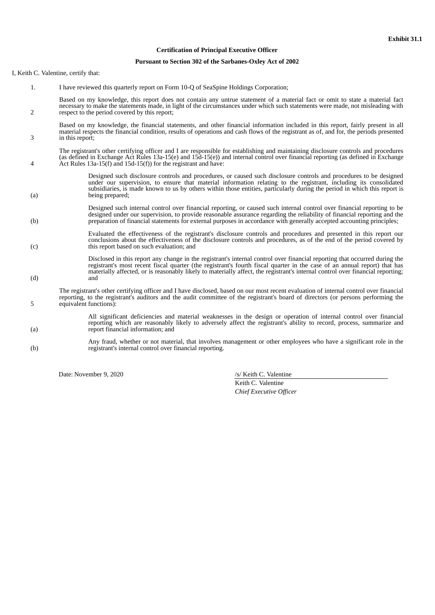#### **Certification of Principal Executive Officer**

#### **Pursuant to Section 302 of the Sarbanes-Oxley Act of 2002**

<span id="page-47-0"></span>I, Keith C. Valentine, certify that:

4

(a)

(b)

(c)

(d)

5

- 1. I have reviewed this quarterly report on Form 10-Q of SeaSpine Holdings Corporation;
- 2 Based on my knowledge, this report does not contain any untrue statement of a material fact or omit to state a material fact necessary to make the statements made, in light of the circumstances under which such statements were made, not misleading with respect to the period covered by this report;
- 3 Based on my knowledge, the financial statements, and other financial information included in this report, fairly present in all material respects the financial condition, results of operations and cash flows of the registrant as of, and for, the periods presented in this report;
	- The registrant's other certifying officer and I are responsible for establishing and maintaining disclosure controls and procedures (as defined in Exchange Act Rules 13a-15(e) and 15d-15(e)) and internal control over financial reporting (as defined in Exchange Act Rules 13a-15(f) and 15d-15(f)) for the registrant and have:
		- Designed such disclosure controls and procedures, or caused such disclosure controls and procedures to be designed under our supervision, to ensure that material information relating to the registrant, including its consolidated subsidiaries, is made known to us by others within those entities, particularly during the period in which this report is being prepared;
	- Designed such internal control over financial reporting, or caused such internal control over financial reporting to be designed under our supervision, to provide reasonable assurance regarding the reliability of financial reporting and the preparation of financial statements for external purposes in accordance with generally accepted accounting principles;
		- Evaluated the effectiveness of the registrant's disclosure controls and procedures and presented in this report our conclusions about the effectiveness of the disclosure controls and procedures, as of the end of the period covered by this report based on such evaluation; and
			- Disclosed in this report any change in the registrant's internal control over financial reporting that occurred during the registrant's most recent fiscal quarter (the registrant's fourth fiscal quarter in the case of an annual report) that has materially affected, or is reasonably likely to materially affect, the registrant's internal control over financial reporting; and
	- The registrant's other certifying officer and I have disclosed, based on our most recent evaluation of internal control over financial reporting, to the registrant's auditors and the audit committee of the registrant's board of directors (or persons performing the equivalent functions):
- (a) All significant deficiencies and material weaknesses in the design or operation of internal control over financial reporting which are reasonably likely to adversely affect the registrant's ability to record, process, summarize and report financial information; and
- (b) Any fraud, whether or not material, that involves management or other employees who have a significant role in the registrant's internal control over financial reporting.

Date: November 9, 2020 /s/ Keith C. Valentine

Keith C. Valentine *Chief Executive Officer*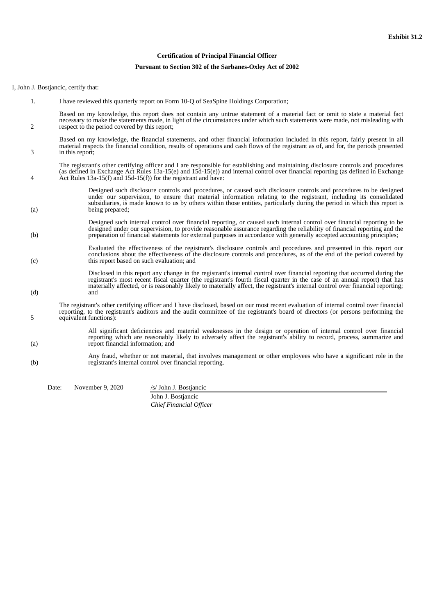#### **Certification of Principal Financial Officer**

#### **Pursuant to Section 302 of the Sarbanes-Oxley Act of 2002**

<span id="page-48-0"></span>I, John J. Bostjancic, certify that:

 $\overline{2}$ 

4

(a)

(b)

(c)

(d)

1. I have reviewed this quarterly report on Form 10-Q of SeaSpine Holdings Corporation;

Based on my knowledge, this report does not contain any untrue statement of a material fact or omit to state a material fact necessary to make the statements made, in light of the circumstances under which such statements were made, not misleading with respect to the period covered by this report;

3 Based on my knowledge, the financial statements, and other financial information included in this report, fairly present in all material respects the financial condition, results of operations and cash flows of the registrant as of, and for, the periods presented in this report;

The registrant's other certifying officer and I are responsible for establishing and maintaining disclosure controls and procedures (as defined in Exchange Act Rules 13a-15(e) and 15d-15(e)) and internal control over financial reporting (as defined in Exchange Act Rules 13a-15(f) and 15d-15(f)) for the registrant and have:

- Designed such disclosure controls and procedures, or caused such disclosure controls and procedures to be designed under our supervision, to ensure that material information relating to the registrant, including its consolidated subsidiaries, is made known to us by others within those entities, particularly during the period in which this report is being prepared;
- Designed such internal control over financial reporting, or caused such internal control over financial reporting to be designed under our supervision, to provide reasonable assurance regarding the reliability of financial reporting and the preparation of financial statements for external purposes in accordance with generally accepted accounting principles;
	- Evaluated the effectiveness of the registrant's disclosure controls and procedures and presented in this report our conclusions about the effectiveness of the disclosure controls and procedures, as of the end of the period covered by this report based on such evaluation; and
		- Disclosed in this report any change in the registrant's internal control over financial reporting that occurred during the registrant's most recent fiscal quarter (the registrant's fourth fiscal quarter in the case of an annual report) that has materially affected, or is reasonably likely to materially affect, the registrant's internal control over financial reporting; and
- 5 The registrant's other certifying officer and I have disclosed, based on our most recent evaluation of internal control over financial reporting, to the registrant's auditors and the audit committee of the registrant's board of directors (or persons performing the equivalent functions):
- (a) All significant deficiencies and material weaknesses in the design or operation of internal control over financial reporting which are reasonably likely to adversely affect the registrant's ability to record, process, summarize and report financial information; and
- (b) Any fraud, whether or not material, that involves management or other employees who have a significant role in the registrant's internal control over financial reporting.

Date: November 9, 2020 /s/ John J. Bostjancic

John J. Bostjancic

*Chief Financial Officer*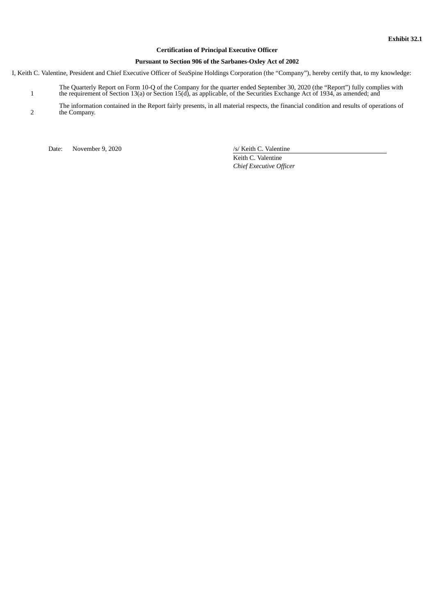# **Certification of Principal Executive Officer**

### **Pursuant to Section 906 of the Sarbanes-Oxley Act of 2002**

<span id="page-49-0"></span>I, Keith C. Valentine, President and Chief Executive Officer of SeaSpine Holdings Corporation (the "Company"), hereby certify that, to my knowledge:

- 1 The Quarterly Report on Form 10-Q of the Company for the quarter ended September 30, 2020 (the "Report") fully complies with the requirement of Section 13(a) or Section 15(d), as applicable, of the Securities Exchange Act of 1934, as amended; and
- 2 The information contained in the Report fairly presents, in all material respects, the financial condition and results of operations of the Company.

Date: November 9, 2020 /s/ Keith C. Valentine

Keith C. Valentine *Chief Executive Officer*